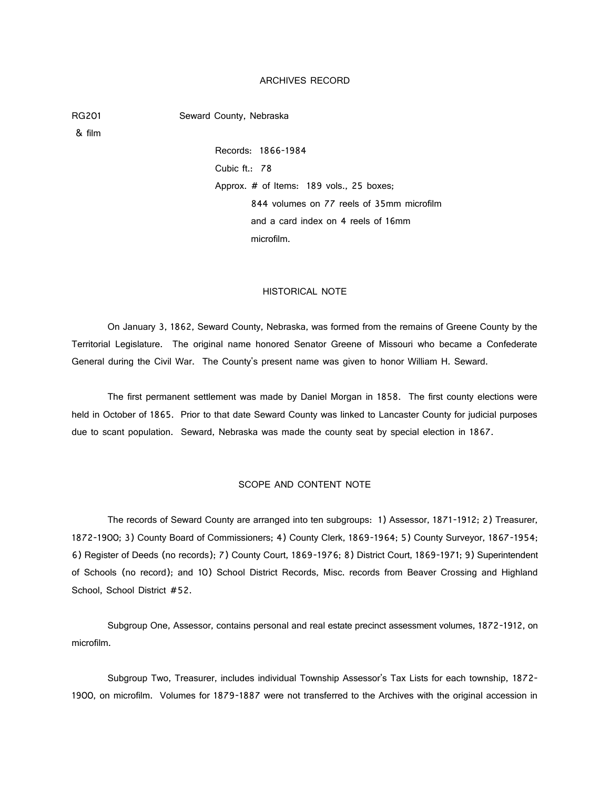### ARCHIVES RECORD

RG201 Seward County, Nebraska

& film

Records: 1866-1984 Cubic ft.: 78 Approx. # of Items: 189 vols., 25 boxes; 844 volumes on 77 reels of 35mm microfilm and a card index on 4 reels of 16mm microfilm.

### HISTORICAL NOTE

On January 3, 1862, Seward County, Nebraska, was formed from the remains of Greene County by the Territorial Legislature. The original name honored Senator Greene of Missouri who became a Confederate General during the Civil War. The County's present name was given to honor William H. Seward.

The first permanent settlement was made by Daniel Morgan in 1858. The first county elections were held in October of 1865. Prior to that date Seward County was linked to Lancaster County for judicial purposes due to scant population. Seward, Nebraska was made the county seat by special election in 1867.

### SCOPE AND CONTENT NOTE

The records of Seward County are arranged into ten subgroups: 1) Assessor, 1871-1912; 2) Treasurer, 1872-1900; 3) County Board of Commissioners; 4) County Clerk, 1869-1964; 5) County Surveyor, 1867-1954; 6) Register of Deeds (no records); 7) County Court, 1869-1976; 8) District Court, 1869-1971; 9) Superintendent of Schools (no record); and 10) School District Records, Misc. records from Beaver Crossing and Highland School, School District #52.

Subgroup One, Assessor, contains personal and real estate precinct assessment volumes, 1872-1912, on microfilm.

Subgroup Two, Treasurer, includes individual Township Assessor's Tax Lists for each township, 1872- 1900, on microfilm. Volumes for 1879-1887 were not transferred to the Archives with the original accession in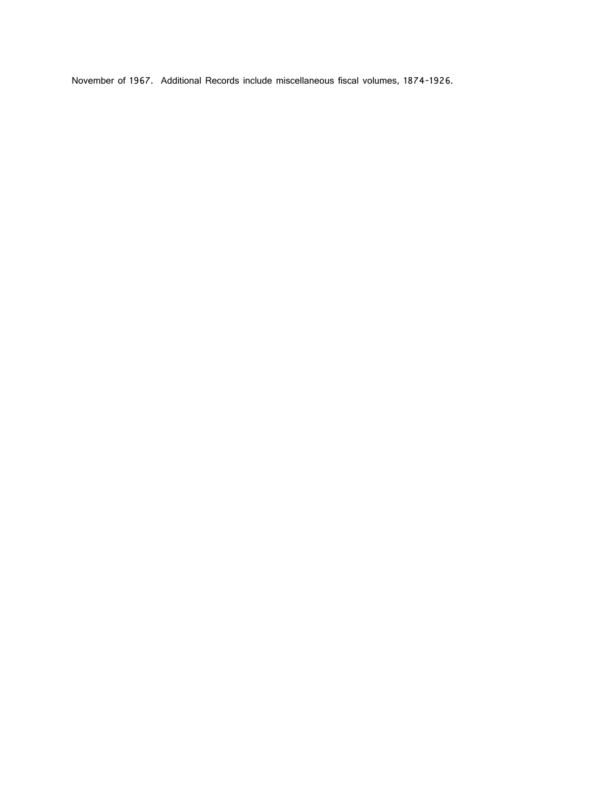November of 1967. Additional Records include miscellaneous fiscal volumes, 1874-1926.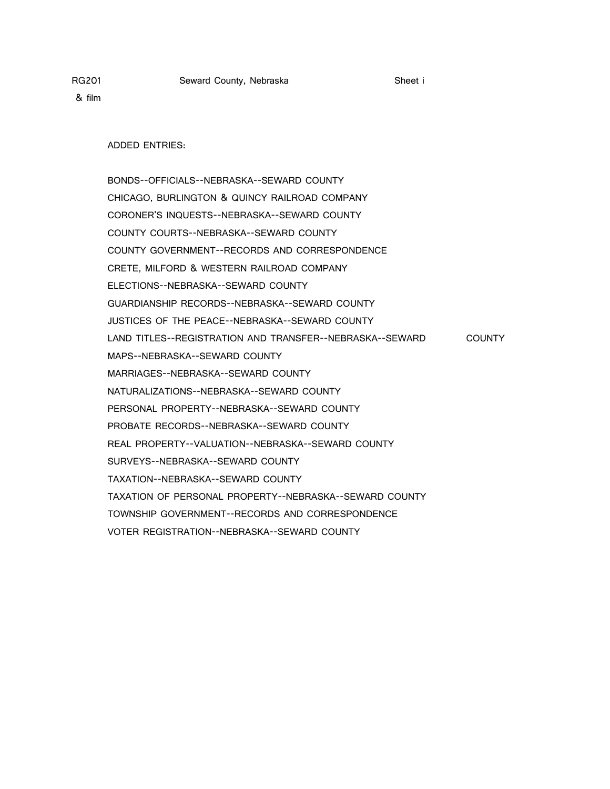ADDED ENTRIES:

BONDS--OFFICIALS--NEBRASKA--SEWARD COUNTY CHICAGO, BURLINGTON & QUINCY RAILROAD COMPANY CORONER'S INQUESTS--NEBRASKA--SEWARD COUNTY COUNTY COURTS--NEBRASKA--SEWARD COUNTY COUNTY GOVERNMENT--RECORDS AND CORRESPONDENCE CRETE, MILFORD & WESTERN RAILROAD COMPANY ELECTIONS--NEBRASKA--SEWARD COUNTY GUARDIANSHIP RECORDS--NEBRASKA--SEWARD COUNTY JUSTICES OF THE PEACE--NEBRASKA--SEWARD COUNTY LAND TITLES--REGISTRATION AND TRANSFER--NEBRASKA--SEWARD COUNTY MAPS--NEBRASKA--SEWARD COUNTY MARRIAGES--NEBRASKA--SEWARD COUNTY NATURALIZATIONS--NEBRASKA--SEWARD COUNTY PERSONAL PROPERTY--NEBRASKA--SEWARD COUNTY PROBATE RECORDS--NEBRASKA--SEWARD COUNTY REAL PROPERTY--VALUATION--NEBRASKA--SEWARD COUNTY SURVEYS--NEBRASKA--SEWARD COUNTY TAXATION--NEBRASKA--SEWARD COUNTY TAXATION OF PERSONAL PROPERTY--NEBRASKA--SEWARD COUNTY TOWNSHIP GOVERNMENT--RECORDS AND CORRESPONDENCE VOTER REGISTRATION--NEBRASKA--SEWARD COUNTY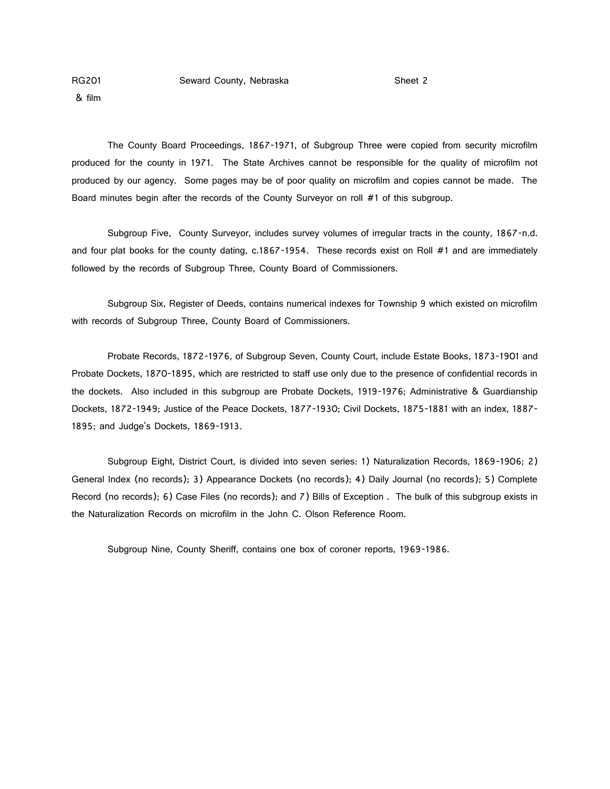& film

The County Board Proceedings, 1867-1971, of Subgroup Three were copied from security microfilm produced for the county in 1971. The State Archives cannot be responsible for the quality of microfilm not produced by our agency. Some pages may be of poor quality on microfilm and copies cannot be made. The Board minutes begin after the records of the County Surveyor on roll #1 of this subgroup.

Subgroup Five, County Surveyor, includes survey volumes of irregular tracts in the county, 1867-n.d. and four plat books for the county dating, c.1867-1954. These records exist on Roll #1 and are immediately followed by the records of Subgroup Three, County Board of Commissioners.

Subgroup Six, Register of Deeds, contains numerical indexes for Township 9 which existed on microfilm with records of Subgroup Three, County Board of Commissioners.

Probate Records, 1872-1976, of Subgroup Seven, County Court, include Estate Books, 1873-1901 and Probate Dockets, 1870-1895, which are restricted to staff use only due to the presence of confidential records in the dockets. Also included in this subgroup are Probate Dockets, 1919-1976; Administrative & Guardianship Dockets, 1872-1949; Justice of the Peace Dockets, 1877-1930; Civil Dockets, 1875-1881 with an index, 1887- 1895; and Judge's Dockets, 1869-1913.

Subgroup Eight, District Court, is divided into seven series: 1) Naturalization Records, 1869-1906; 2) General Index (no records); 3) Appearance Dockets (no records); 4) Daily Journal (no records); 5) Complete Record (no records); 6) Case Files (no records); and 7) Bills of Exception . The bulk of this subgroup exists in the Naturalization Records on microfilm in the John C. Olson Reference Room.

Subgroup Nine, County Sheriff, contains one box of coroner reports, 1969-1986.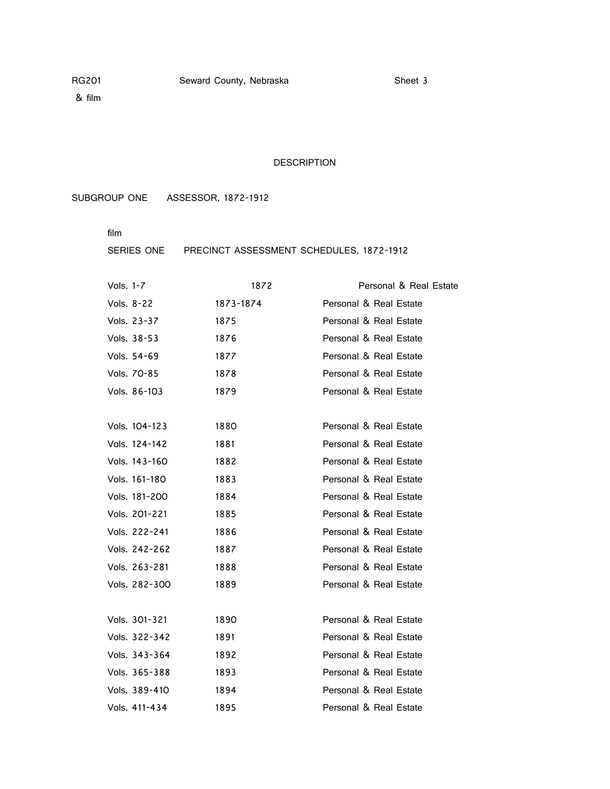### DESCRIPTION

SUBGROUP ONE ASSESSOR, 1872-1912

film

### SERIES ONE PRECINCT ASSESSMENT SCHEDULES, 1872-1912

| Vols. 1-7     | 1872      | Personal & Real Estate |
|---------------|-----------|------------------------|
| Vols. 8-22    | 1873-1874 | Personal & Real Estate |
| Vols. 23-37   | 1875      | Personal & Real Estate |
| Vols. 38-53   | 1876      | Personal & Real Estate |
| Vols. 54-69   | 1877      | Personal & Real Estate |
| Vols. 70-85   | 1878      | Personal & Real Estate |
| Vols. 86-103  | 1879      | Personal & Real Estate |
|               |           |                        |
| Vols. 104-123 | 1880      | Personal & Real Estate |
| Vols. 124-142 | 1881      | Personal & Real Estate |
| Vols. 143-160 | 1882      | Personal & Real Estate |
| Vols. 161-180 | 1883      | Personal & Real Estate |
| Vols. 181-200 | 1884      | Personal & Real Estate |
| Vols. 201-221 | 1885      | Personal & Real Estate |
| Vols. 222-241 | 1886      | Personal & Real Estate |
| Vols. 242-262 | 1887      | Personal & Real Estate |
| Vols. 263-281 | 1888      | Personal & Real Estate |
| Vols. 282-300 | 1889      | Personal & Real Estate |
|               |           |                        |
| Vols. 301-321 | 1890      | Personal & Real Estate |
| Vols. 322-342 | 1891      | Personal & Real Estate |
| Vols. 343-364 | 1892      | Personal & Real Estate |
| Vols. 365-388 | 1893      | Personal & Real Estate |
| Vols. 389-410 | 1894      | Personal & Real Estate |
| Vols. 411-434 | 1895      | Personal & Real Estate |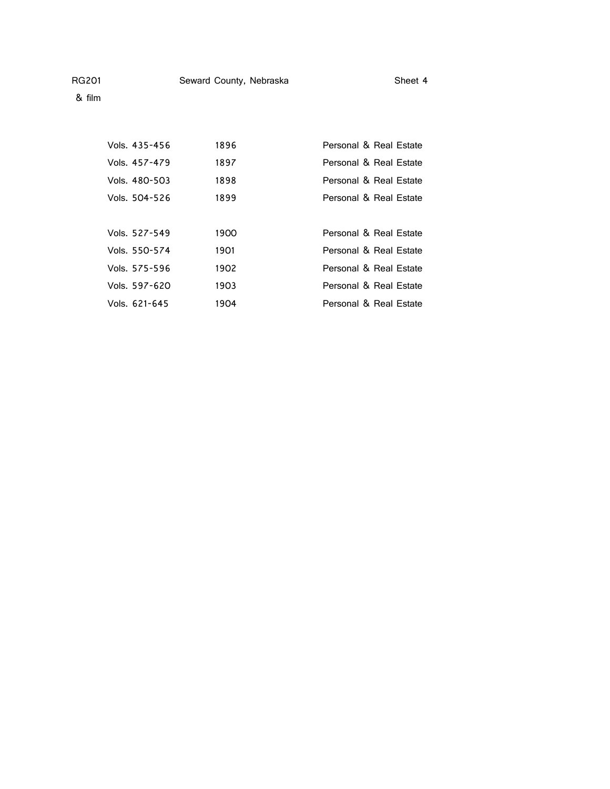& film

| Vols. 435-456 | 1896 | Personal & Real Estate |
|---------------|------|------------------------|
| Vols. 457-479 | 1897 | Personal & Real Estate |
| Vols. 480-503 | 1898 | Personal & Real Estate |
| Vols. 504-526 | 1899 | Personal & Real Estate |
|               |      |                        |
| Vols. 527-549 | 1900 | Personal & Real Estate |
| Vols. 550-574 | 1901 | Personal & Real Estate |
| Vols. 575-596 | 1902 | Personal & Real Estate |
| Vols. 597-620 | 1903 | Personal & Real Estate |
| Vols. 621-645 | 1904 | Personal & Real Estate |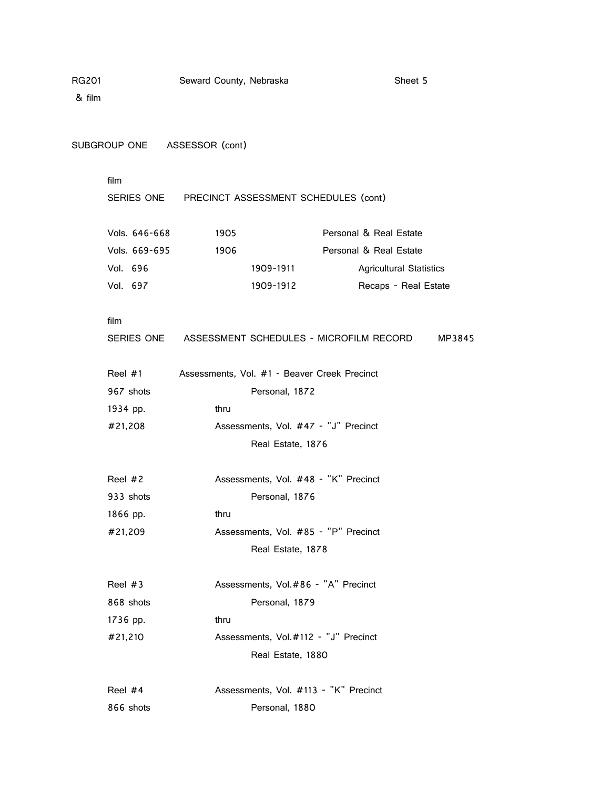|      |                                                                                                                                                                                                                                     |      |           |                                                         | Sheet 5                                                                                                                                                                                                                                                                                                                                                                                                                                                                                                                                      |
|------|-------------------------------------------------------------------------------------------------------------------------------------------------------------------------------------------------------------------------------------|------|-----------|---------------------------------------------------------|----------------------------------------------------------------------------------------------------------------------------------------------------------------------------------------------------------------------------------------------------------------------------------------------------------------------------------------------------------------------------------------------------------------------------------------------------------------------------------------------------------------------------------------------|
|      |                                                                                                                                                                                                                                     |      |           |                                                         |                                                                                                                                                                                                                                                                                                                                                                                                                                                                                                                                              |
|      |                                                                                                                                                                                                                                     |      |           |                                                         |                                                                                                                                                                                                                                                                                                                                                                                                                                                                                                                                              |
| film |                                                                                                                                                                                                                                     |      |           |                                                         |                                                                                                                                                                                                                                                                                                                                                                                                                                                                                                                                              |
|      |                                                                                                                                                                                                                                     |      |           |                                                         |                                                                                                                                                                                                                                                                                                                                                                                                                                                                                                                                              |
|      |                                                                                                                                                                                                                                     | 1905 |           | Personal & Real Estate                                  |                                                                                                                                                                                                                                                                                                                                                                                                                                                                                                                                              |
|      |                                                                                                                                                                                                                                     | 1906 |           | Personal & Real Estate                                  |                                                                                                                                                                                                                                                                                                                                                                                                                                                                                                                                              |
|      |                                                                                                                                                                                                                                     |      | 1909-1911 |                                                         | <b>Agricultural Statistics</b>                                                                                                                                                                                                                                                                                                                                                                                                                                                                                                               |
|      |                                                                                                                                                                                                                                     |      | 1909-1912 |                                                         | Recaps - Real Estate                                                                                                                                                                                                                                                                                                                                                                                                                                                                                                                         |
| film |                                                                                                                                                                                                                                     |      |           |                                                         |                                                                                                                                                                                                                                                                                                                                                                                                                                                                                                                                              |
|      |                                                                                                                                                                                                                                     |      |           |                                                         | MP3845                                                                                                                                                                                                                                                                                                                                                                                                                                                                                                                                       |
|      |                                                                                                                                                                                                                                     |      |           |                                                         |                                                                                                                                                                                                                                                                                                                                                                                                                                                                                                                                              |
|      |                                                                                                                                                                                                                                     |      |           |                                                         |                                                                                                                                                                                                                                                                                                                                                                                                                                                                                                                                              |
|      |                                                                                                                                                                                                                                     | thru |           |                                                         |                                                                                                                                                                                                                                                                                                                                                                                                                                                                                                                                              |
|      |                                                                                                                                                                                                                                     |      |           |                                                         |                                                                                                                                                                                                                                                                                                                                                                                                                                                                                                                                              |
|      |                                                                                                                                                                                                                                     |      |           |                                                         |                                                                                                                                                                                                                                                                                                                                                                                                                                                                                                                                              |
|      |                                                                                                                                                                                                                                     |      |           |                                                         |                                                                                                                                                                                                                                                                                                                                                                                                                                                                                                                                              |
|      |                                                                                                                                                                                                                                     |      |           |                                                         |                                                                                                                                                                                                                                                                                                                                                                                                                                                                                                                                              |
|      |                                                                                                                                                                                                                                     | thru |           |                                                         |                                                                                                                                                                                                                                                                                                                                                                                                                                                                                                                                              |
|      |                                                                                                                                                                                                                                     |      |           |                                                         |                                                                                                                                                                                                                                                                                                                                                                                                                                                                                                                                              |
|      |                                                                                                                                                                                                                                     |      |           |                                                         |                                                                                                                                                                                                                                                                                                                                                                                                                                                                                                                                              |
|      |                                                                                                                                                                                                                                     |      |           |                                                         |                                                                                                                                                                                                                                                                                                                                                                                                                                                                                                                                              |
|      |                                                                                                                                                                                                                                     |      |           |                                                         |                                                                                                                                                                                                                                                                                                                                                                                                                                                                                                                                              |
|      |                                                                                                                                                                                                                                     | thru |           |                                                         |                                                                                                                                                                                                                                                                                                                                                                                                                                                                                                                                              |
|      |                                                                                                                                                                                                                                     |      |           |                                                         |                                                                                                                                                                                                                                                                                                                                                                                                                                                                                                                                              |
|      |                                                                                                                                                                                                                                     |      |           |                                                         |                                                                                                                                                                                                                                                                                                                                                                                                                                                                                                                                              |
|      |                                                                                                                                                                                                                                     |      |           |                                                         |                                                                                                                                                                                                                                                                                                                                                                                                                                                                                                                                              |
|      |                                                                                                                                                                                                                                     |      |           |                                                         |                                                                                                                                                                                                                                                                                                                                                                                                                                                                                                                                              |
|      | Vols. 646-668<br>Vols. 669-695<br>Vol. 696<br>Vol. 697<br>Reel $#1$<br>967 shots<br>1934 pp.<br>#21,208<br>Reel $#2$<br>933 shots<br>1866 pp.<br>#21,209<br>Reel $#3$<br>868 shots<br>1736 pp.<br>#21,210<br>Reel $#4$<br>866 shots |      |           | Seward County, Nebraska<br>SUBGROUP ONE ASSESSOR (cont) | SERIES ONE PRECINCT ASSESSMENT SCHEDULES (cont)<br>SERIES ONE ASSESSMENT SCHEDULES - MICROFILM RECORD<br>Assessments, Vol. #1 - Beaver Creek Precinct<br>Personal, 1872<br>Assessments, Vol. #47 - "J" Precinct<br>Real Estate, 1876<br>Assessments, Vol. #48 - "K" Precinct<br>Personal, 1876<br>Assessments, Vol. #85 - "P" Precinct<br>Real Estate, 1878<br>Assessments, Vol.#86 - "A" Precinct<br>Personal, 1879<br>Assessments, Vol.#112 - "J" Precinct<br>Real Estate, 1880<br>Assessments, Vol. #113 - "K" Precinct<br>Personal, 1880 |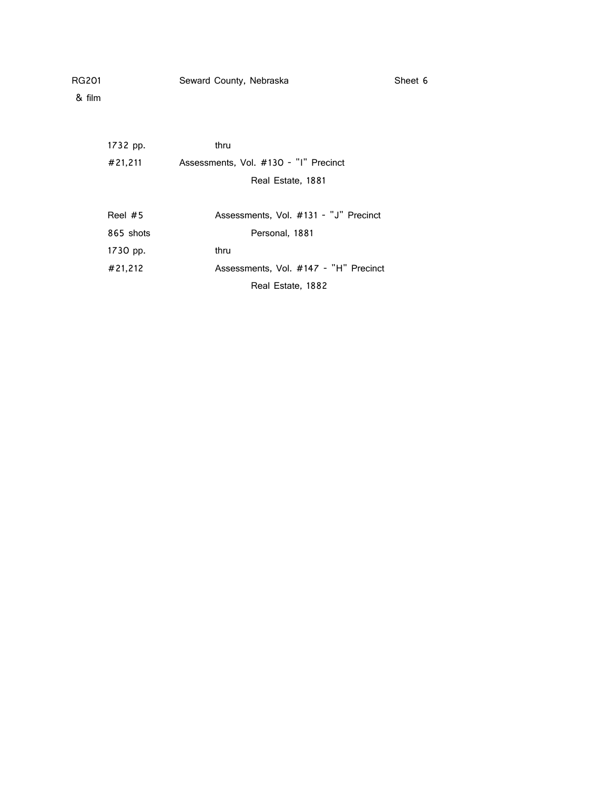& film

1732 pp. thru #21,211 Assessments, Vol. #130 - "I" Precinct Real Estate, 1881

| Reel $#5$ | Assessments, Vol. #131 - "J" Precinct |
|-----------|---------------------------------------|
| 865 shots | Personal, 1881                        |
| 1730 pp.  | thru                                  |
| #21.212   | Assessments, Vol. #147 - "H" Precinct |
|           | Real Estate, 1882                     |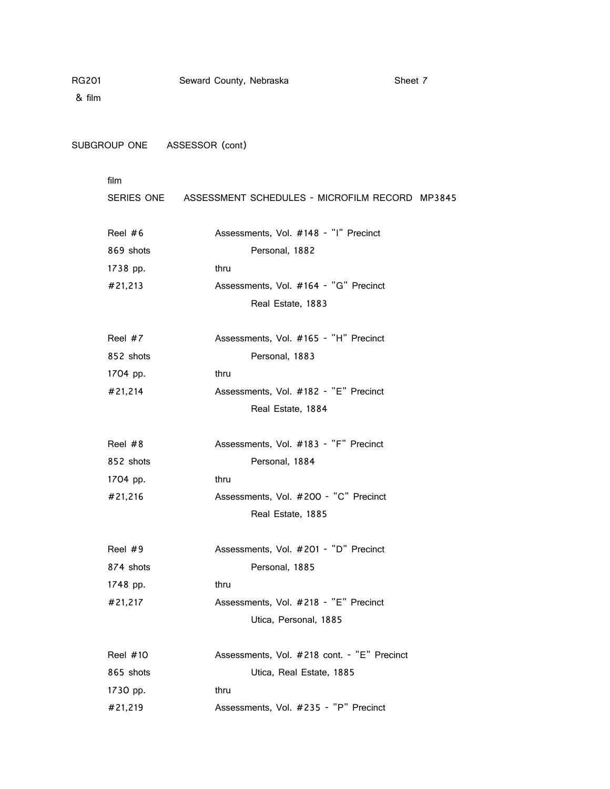& film

SUBGROUP ONE ASSESSOR (cont)

|            | SERIES ONE ASSESSMENT SCHEDULES - MICROFILM RECORD MP3845 |
|------------|-----------------------------------------------------------|
| Reel $#6$  | Assessments, Vol. #148 - "I" Precinct                     |
| 869 shots  | Personal, 1882                                            |
| 1738 pp.   | thru                                                      |
| #21,213    | Assessments, Vol. #164 - "G" Precinct                     |
|            | Real Estate, 1883                                         |
| Reel #7    | Assessments, Vol. #165 - "H" Precinct                     |
| 852 shots  | Personal, 1883                                            |
| 1704 pp.   | thru                                                      |
| #21,214    | Assessments, Vol. #182 - "E" Precinct                     |
|            | Real Estate, 1884                                         |
| Reel $#8$  | Assessments, Vol. #183 - "F" Precinct                     |
| 852 shots  | Personal, 1884                                            |
| 1704 pp.   | thru                                                      |
| #21,216    | Assessments, Vol. #200 - "C" Precinct                     |
|            | Real Estate, 1885                                         |
| Reel $#9$  | Assessments, Vol. #201 - "D" Precinct                     |
| 874 shots  | Personal, 1885                                            |
| 1748 pp.   | thru                                                      |
| #21,217    | Assessments, Vol. #218 - "E" Precinct                     |
|            | Utica, Personal, 1885                                     |
| Reel $#10$ | Assessments, Vol. #218 cont. - "E" Precinct               |
| 865 shots  | Utica, Real Estate, 1885                                  |
| 1730 pp.   | thru                                                      |
| #21,219    | Assessments, Vol. #235 - "P" Precinct                     |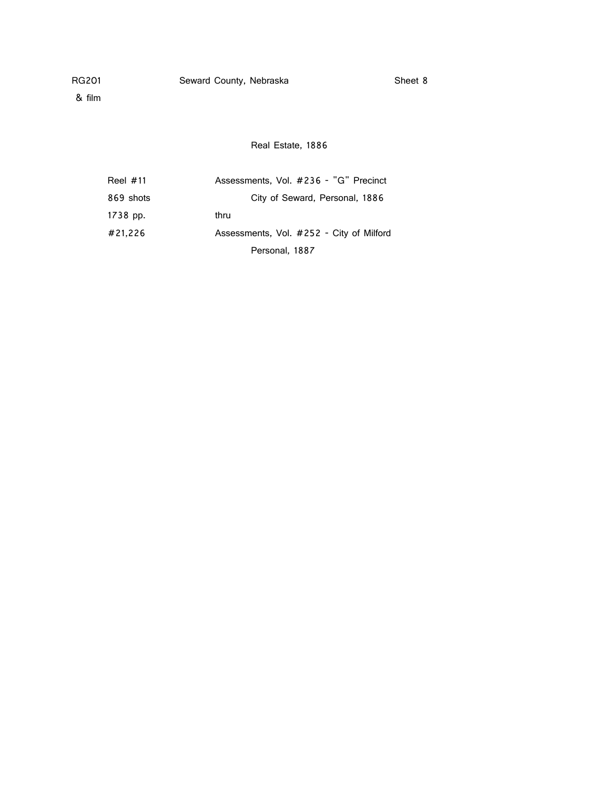& film

Real Estate, 1886

| Reel $#11$ | Assessments, Vol. #236 - "G" Precinct    |
|------------|------------------------------------------|
| 869 shots  | City of Seward, Personal, 1886           |
| 1738 pp.   | thru                                     |
| #21.226    | Assessments, Vol. #252 - City of Milford |
|            | Personal, 1887                           |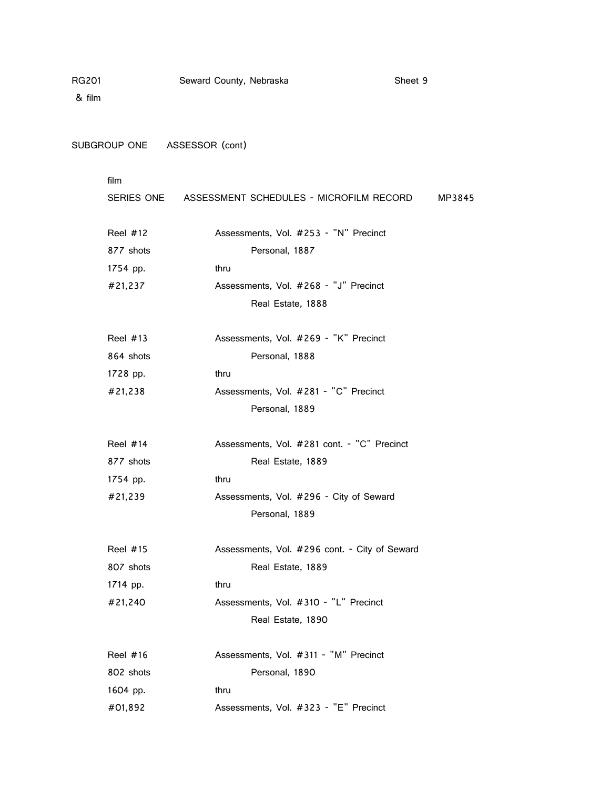| RG201<br>& film |                 | Seward County, Nebraska      |                   |                                                    | Sheet 9 |        |
|-----------------|-----------------|------------------------------|-------------------|----------------------------------------------------|---------|--------|
|                 |                 | SUBGROUP ONE ASSESSOR (cont) |                   |                                                    |         |        |
|                 | film            |                              |                   |                                                    |         |        |
|                 |                 |                              |                   | SERIES ONE ASSESSMENT SCHEDULES - MICROFILM RECORD |         | MP3845 |
|                 | Reel $#12$      |                              |                   | Assessments, Vol. #253 - "N" Precinct              |         |        |
|                 | 877 shots       |                              | Personal, 1887    |                                                    |         |        |
|                 | 1754 pp.        | thru                         |                   |                                                    |         |        |
|                 | #21,237         |                              |                   | Assessments, Vol. #268 - "J" Precinct              |         |        |
|                 |                 |                              | Real Estate, 1888 |                                                    |         |        |
|                 |                 |                              |                   |                                                    |         |        |
|                 | Reel $#13$      |                              |                   | Assessments, Vol. #269 - "K" Precinct              |         |        |
|                 | 864 shots       |                              | Personal, 1888    |                                                    |         |        |
|                 | 1728 pp.        | thru                         |                   |                                                    |         |        |
|                 | #21,238         |                              |                   | Assessments, Vol. #281 - "C" Precinct              |         |        |
|                 |                 |                              | Personal, 1889    |                                                    |         |        |
|                 | <b>Reel #14</b> |                              |                   | Assessments, Vol. #281 cont. - "C" Precinct        |         |        |
|                 | 877 shots       |                              | Real Estate, 1889 |                                                    |         |        |
|                 | 1754 pp.        | thru                         |                   |                                                    |         |        |
|                 | #21,239         |                              |                   | Assessments, Vol. #296 - City of Seward            |         |        |
|                 |                 |                              | Personal, 1889    |                                                    |         |        |
|                 | Reel #15        |                              |                   | Assessments, Vol. #296 cont. - City of Seward      |         |        |
|                 | 807 shots       |                              | Real Estate, 1889 |                                                    |         |        |
|                 | 1714 pp.        | thru                         |                   |                                                    |         |        |
|                 | #21,240         |                              |                   | Assessments, Vol. #310 - "L" Precinct              |         |        |
|                 |                 |                              | Real Estate, 1890 |                                                    |         |        |
|                 | Reel #16        |                              |                   | Assessments, Vol. #311 - "M" Precinct              |         |        |
|                 | 802 shots       |                              | Personal, 1890    |                                                    |         |        |
|                 |                 |                              |                   |                                                    |         |        |

- 1604 pp. thru
- #01,892 Assessments, Vol. #323 "E" Precinct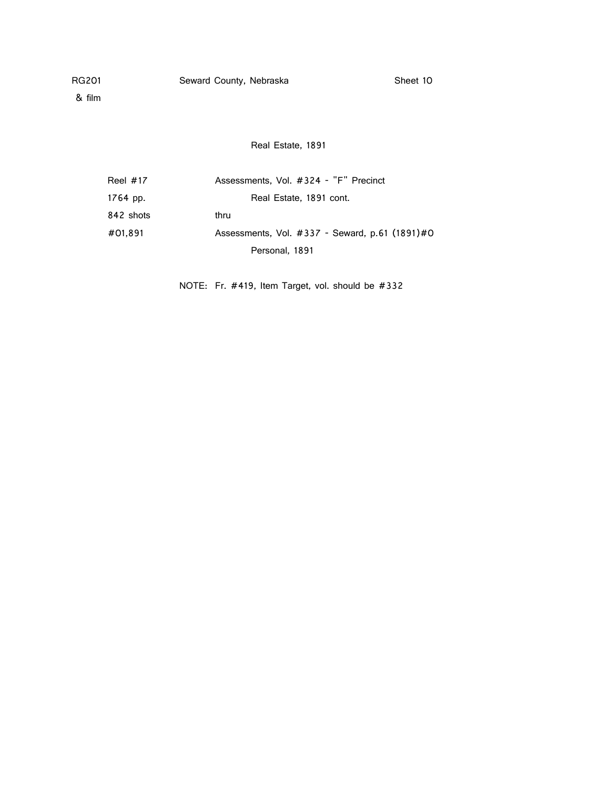& film

Real Estate, 1891

| Reel $#17$ | Assessments, Vol. #324 - "F" Precinct          |
|------------|------------------------------------------------|
| 1764 pp.   | Real Estate, 1891 cont.                        |
| 842 shots  | thru                                           |
| #01.891    | Assessments, Vol. #337 - Seward, p.61 (1891)#0 |
|            | Personal, 1891                                 |

NOTE: Fr. #419, Item Target, vol. should be #332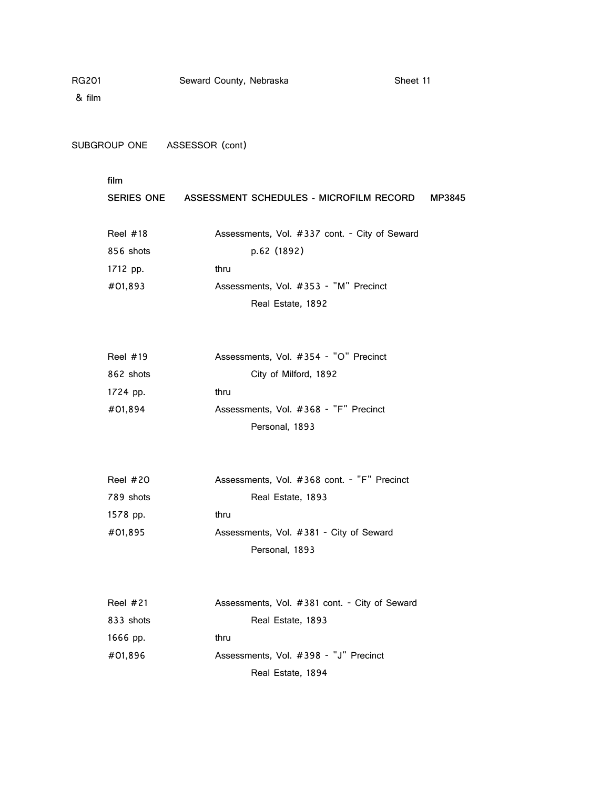& film

SUBGROUP ONE ASSESSOR (cont)

| <b>SERIES ONE</b> | ASSESSMENT SCHEDULES - MICROFILM RECORD       | MP3845 |
|-------------------|-----------------------------------------------|--------|
| Reel $#18$        | Assessments, Vol. #337 cont. - City of Seward |        |
| 856 shots         | p.62 (1892)                                   |        |
| 1712 pp.          | thru                                          |        |
| #01,893           | Assessments, Vol. #353 - "M" Precinct         |        |
|                   | Real Estate, 1892                             |        |

| Reel $#19$ | Assessments, Vol. #354 - "O" Precinct |
|------------|---------------------------------------|
| 862 shots  | City of Milford, 1892                 |
| 1724 pp.   | thru                                  |
| #01.894    | Assessments, Vol. #368 - "F" Precinct |
|            | Personal, 1893                        |

| <b>Reel #20</b> | Assessments, Vol. #368 cont. - "F" Precinct |
|-----------------|---------------------------------------------|
| 789 shots       | Real Estate, 1893                           |
| 1578 pp.        | thru                                        |
| #01.895         | Assessments, Vol. #381 - City of Seward     |
|                 | Personal, 1893                              |

| Reel $#21$ | Assessments, Vol. #381 cont. - City of Seward |
|------------|-----------------------------------------------|
| 833 shots  | Real Estate, 1893                             |
| 1666 pp.   | thru                                          |
| #01.896    | Assessments, Vol. #398 - "J" Precinct         |
|            | Real Estate, 1894                             |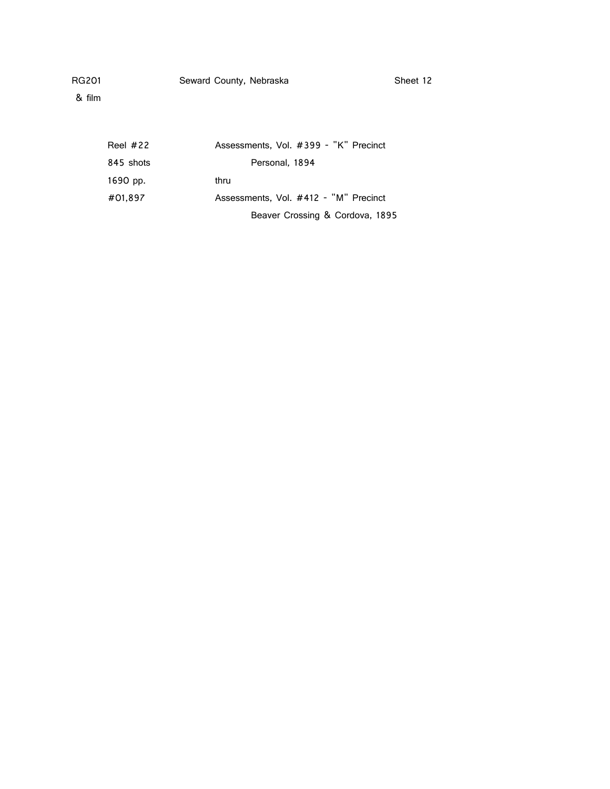& film

| Reel $#22$ | Assessments, Vol. #399 - "K" Precinct |
|------------|---------------------------------------|
| 845 shots  | Personal, 1894                        |
| 1690 pp.   | thru                                  |
| #01,897    | Assessments, Vol. #412 - "M" Precinct |
|            | Beaver Crossing & Cordova, 1895       |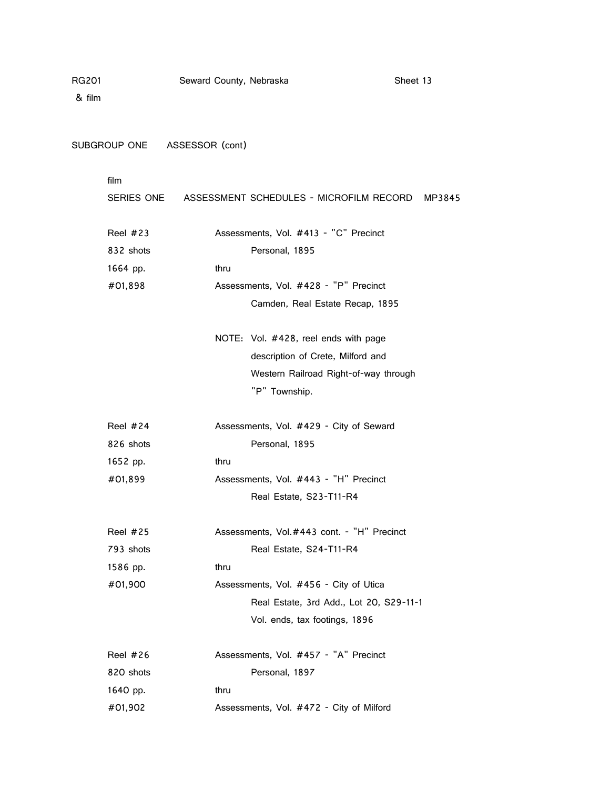& film

SUBGROUP ONE ASSESSOR (cont)

|           | SERIES ONE ASSESSMENT SCHEDULES - MICROFILM RECORD MP3845 |  |
|-----------|-----------------------------------------------------------|--|
| Reel #23  | Assessments, Vol. #413 - "C" Precinct                     |  |
| 832 shots | Personal, 1895                                            |  |
| 1664 pp.  | thru                                                      |  |
| #01,898   | Assessments, Vol. #428 - "P" Precinct                     |  |
|           | Camden, Real Estate Recap, 1895                           |  |
|           | NOTE: Vol. #428, reel ends with page                      |  |
|           | description of Crete, Milford and                         |  |
|           | Western Railroad Right-of-way through                     |  |
|           | "P" Township.                                             |  |
| Reel #24  | Assessments, Vol. #429 - City of Seward                   |  |
| 826 shots | Personal, 1895                                            |  |
| 1652 pp.  | thru                                                      |  |
| #01,899   | Assessments, Vol. #443 - "H" Precinct                     |  |
|           | Real Estate, S23-T11-R4                                   |  |
| Reel #25  | Assessments, Vol.#443 cont. - "H" Precinct                |  |
| 793 shots | Real Estate, S24-T11-R4                                   |  |
| 1586 pp.  | thru                                                      |  |
| #01,900   | Assessments, Vol. #456 - City of Utica                    |  |
|           | Real Estate, 3rd Add., Lot 20, S29-11-1                   |  |
|           | Vol. ends, tax footings, 1896                             |  |
| Reel #26  | Assessments, Vol. #457 - "A" Precinct                     |  |
| 820 shots | Personal, 1897                                            |  |
| 1640 pp.  | thru                                                      |  |
| #01,902   | Assessments, Vol. #472 - City of Milford                  |  |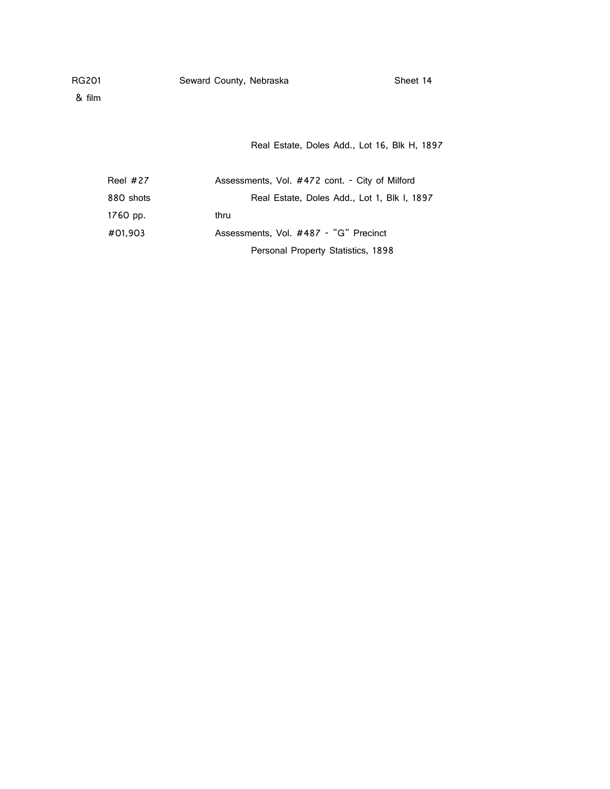& film

Real Estate, Doles Add., Lot 16, Blk H, 1897

| Reel $#27$ | Assessments, Vol. #472 cont. - City of Milford |
|------------|------------------------------------------------|
| 880 shots  | Real Estate, Doles Add., Lot 1, Blk I, 1897    |
| 1760 pp.   | thru                                           |
| #01,903    | Assessments, Vol. #487 - "G" Precinct          |
|            | Personal Property Statistics, 1898             |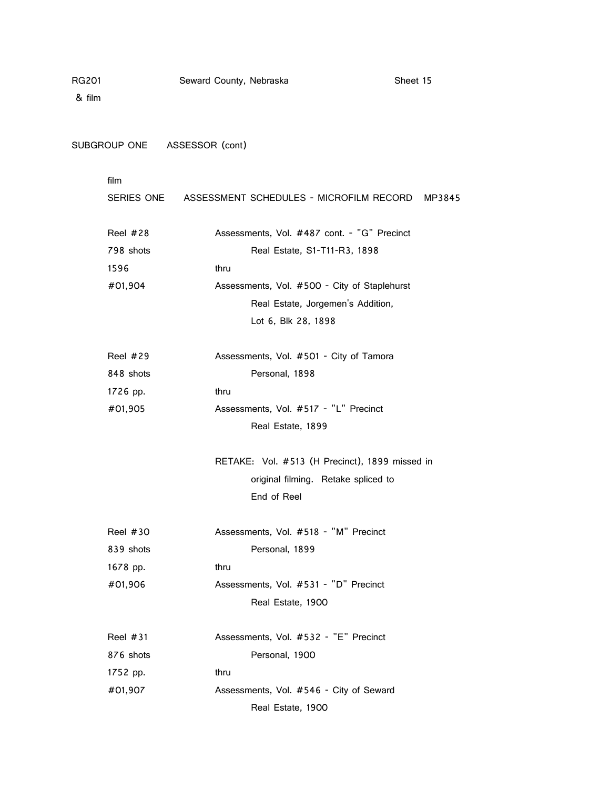& film

SUBGROUP ONE ASSESSOR (cont)

|           | SERIES ONE ASSESSMENT SCHEDULES - MICROFILM RECORD MP3845 |
|-----------|-----------------------------------------------------------|
| Reel #28  | Assessments, Vol. #487 cont. - "G" Precinct               |
| 798 shots | Real Estate, S1-T11-R3, 1898                              |
| 1596      | thru                                                      |
| #01,904   | Assessments, Vol. #500 - City of Staplehurst              |
|           | Real Estate, Jorgemen's Addition,                         |
|           | Lot 6, Blk 28, 1898                                       |
| Reel #29  | Assessments, Vol. #501 - City of Tamora                   |
| 848 shots | Personal, 1898                                            |
| 1726 pp.  | thru                                                      |
| #01,905   | Assessments, Vol. #517 - "L" Precinct                     |
|           | Real Estate, 1899                                         |
|           | RETAKE: Vol. #513 (H Precinct), 1899 missed in            |
|           | original filming. Retake spliced to                       |
|           | End of Reel                                               |
| Reel #30  | Assessments, Vol. #518 - "M" Precinct                     |
| 839 shots | Personal, 1899                                            |
| 1678 pp.  | thru                                                      |
| #01,906   | Assessments, Vol. #531 - "D" Precinct                     |
|           | Real Estate, 1900                                         |
| Reel #31  | Assessments, Vol. #532 - "E" Precinct                     |
| 876 shots | Personal, 1900                                            |
| 1752 pp.  | thru                                                      |
| #01,907   | Assessments, Vol. #546 - City of Seward                   |
|           | Real Estate, 1900                                         |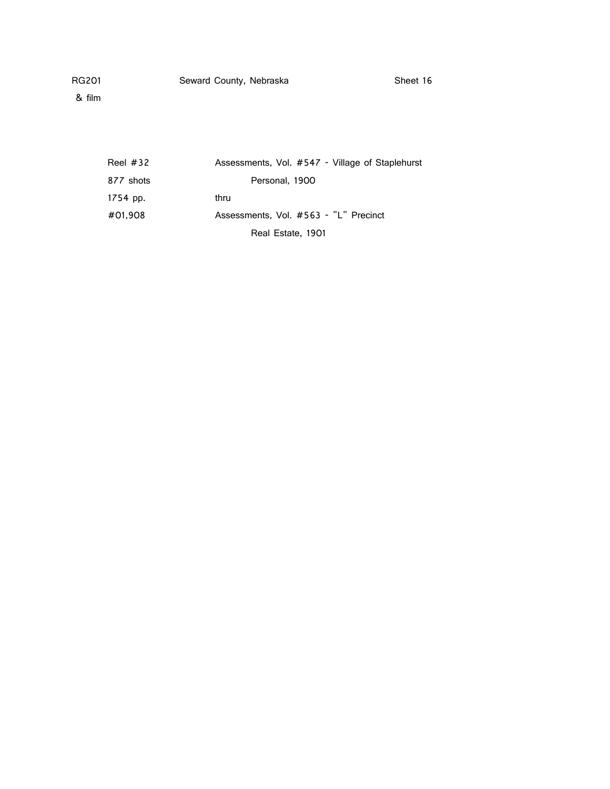& film

| Reel $#32$ | Assessments, Vol. #547 - Village of Staplehurst |
|------------|-------------------------------------------------|
| 877 shots  | Personal, 1900                                  |
| 1754 pp.   | thru                                            |
| #01,908    | Assessments, Vol. #563 - "L" Precinct           |
|            | Real Estate, 1901                               |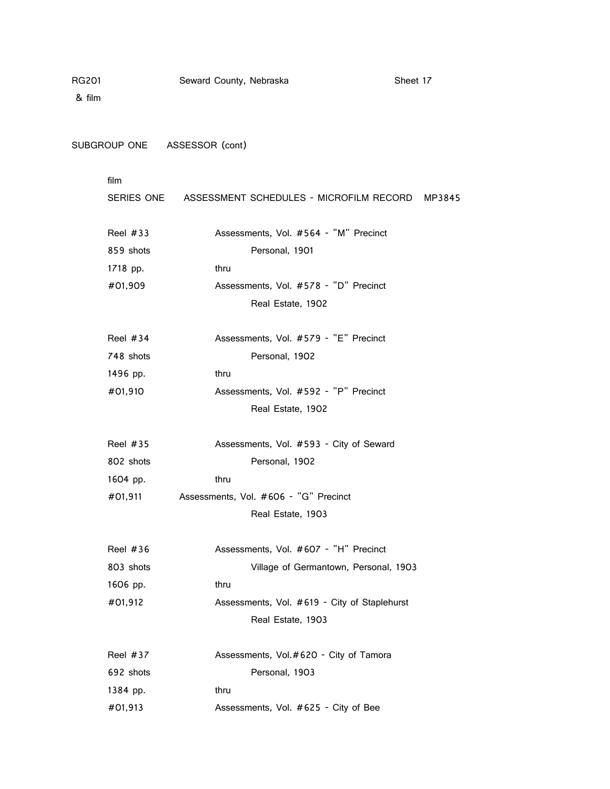& film

SUBGROUP ONE ASSESSOR (cont)

|                         | SERIES ONE ASSESSMENT SCHEDULES - MICROFILM RECORD MP3845 |  |
|-------------------------|-----------------------------------------------------------|--|
| Reel $#33$<br>859 shots | Assessments, Vol. #564 - "M" Precinct<br>Personal, 1901   |  |
| 1718 pp.                | thru                                                      |  |
| #01,909                 | Assessments, Vol. #578 - "D" Precinct                     |  |
|                         | Real Estate, 1902                                         |  |
| Reel $#34$              | Assessments, Vol. #579 - "E" Precinct                     |  |
| 748 shots               | Personal, 1902                                            |  |
| 1496 pp.                | thru                                                      |  |
| #01,910                 | Assessments, Vol. #592 - "P" Precinct                     |  |
|                         | Real Estate, 1902                                         |  |
| Reel $#35$              | Assessments, Vol. #593 - City of Seward                   |  |
| 802 shots               | Personal, 1902                                            |  |
| 1604 pp.                | thru                                                      |  |
| #01,911                 | Assessments, Vol. #606 - "G" Precinct                     |  |
|                         | Real Estate, 1903                                         |  |
| Reel $#36$              | Assessments, Vol. #607 - "H" Precinct                     |  |
| 803 shots               | Village of Germantown, Personal, 1903                     |  |
| 1606 pp.                | thru                                                      |  |
| #01,912                 | Assessments, Vol. #619 - City of Staplehurst              |  |
|                         | Real Estate, 1903                                         |  |
| Reel #37                | Assessments, Vol.#620 - City of Tamora                    |  |
| 692 shots               | Personal, 1903                                            |  |
| 1384 pp.                | thru                                                      |  |
| #01,913                 | Assessments, Vol. #625 - City of Bee                      |  |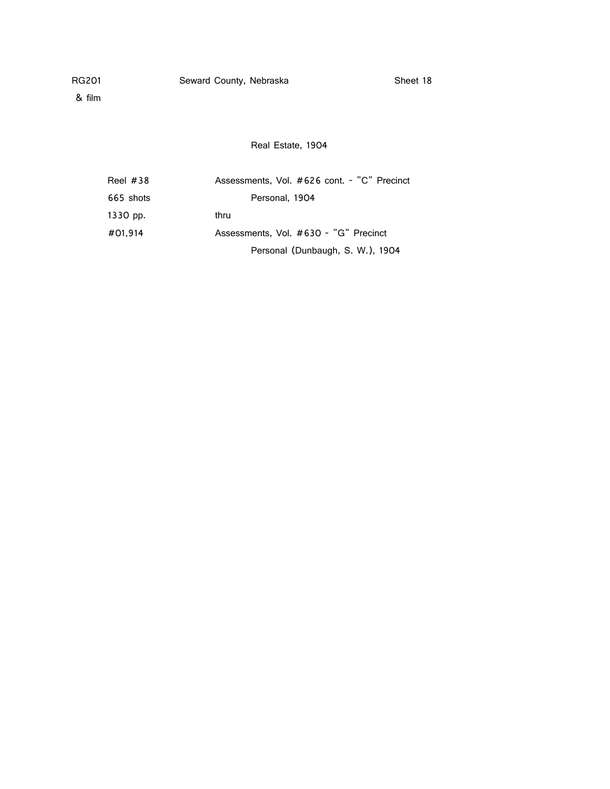& film

Real Estate, 1904

| Reel $#38$ | Assessments, Vol. #626 cont. - "C" Precinct |
|------------|---------------------------------------------|
| 665 shots  | Personal, 1904                              |
| 1330 pp.   | thru                                        |
| #01.914    | Assessments, Vol. #630 - "G" Precinct       |
|            | Personal (Dunbaugh, S. W.), 1904            |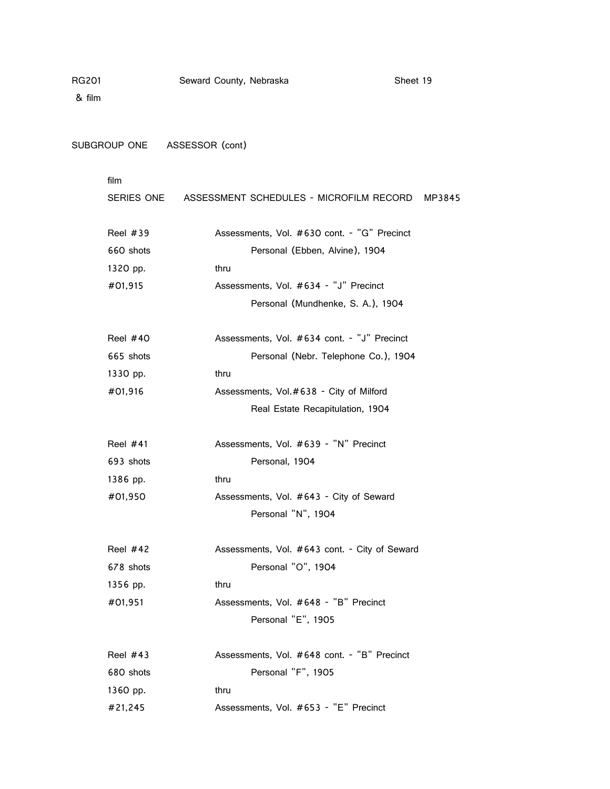& film

SUBGROUP ONE ASSESSOR (cont)

|           | SERIES ONE ASSESSMENT SCHEDULES - MICROFILM RECORD<br>MP3845 |
|-----------|--------------------------------------------------------------|
| Reel #39  | Assessments, Vol. #630 cont. - "G" Precinct                  |
| 660 shots | Personal (Ebben, Alvine), 1904                               |
| 1320 pp.  | thru                                                         |
| #01,915   | Assessments, Vol. #634 - "J" Precinct                        |
|           | Personal (Mundhenke, S. A.), 1904                            |
| Reel #40  | Assessments, Vol. #634 cont. - "J" Precinct                  |
| 665 shots | Personal (Nebr. Telephone Co.), 1904                         |
| 1330 pp.  | thru                                                         |
| #01,916   | Assessments, Vol.#638 - City of Milford                      |
|           | Real Estate Recapitulation, 1904                             |
| Reel #41  | Assessments, Vol. #639 - "N" Precinct                        |
| 693 shots | Personal, 1904                                               |
| 1386 pp.  | thru                                                         |
| #01,950   | Assessments, Vol. #643 - City of Seward                      |
|           | Personal "N", 1904                                           |
| Reel #42  | Assessments, Vol. #643 cont. - City of Seward                |
| 678 shots | Personal "O", 1904                                           |
| 1356 pp.  | thru                                                         |
| #01,951   | Assessments, Vol. #648 - "B" Precinct                        |
|           | Personal "E", 1905                                           |
| Reel #43  | Assessments, Vol. #648 cont. - "B" Precinct                  |
| 680 shots | Personal "F", 1905                                           |
| 1360 pp.  | thru                                                         |
| #21,245   | Assessments, Vol. #653 - "E" Precinct                        |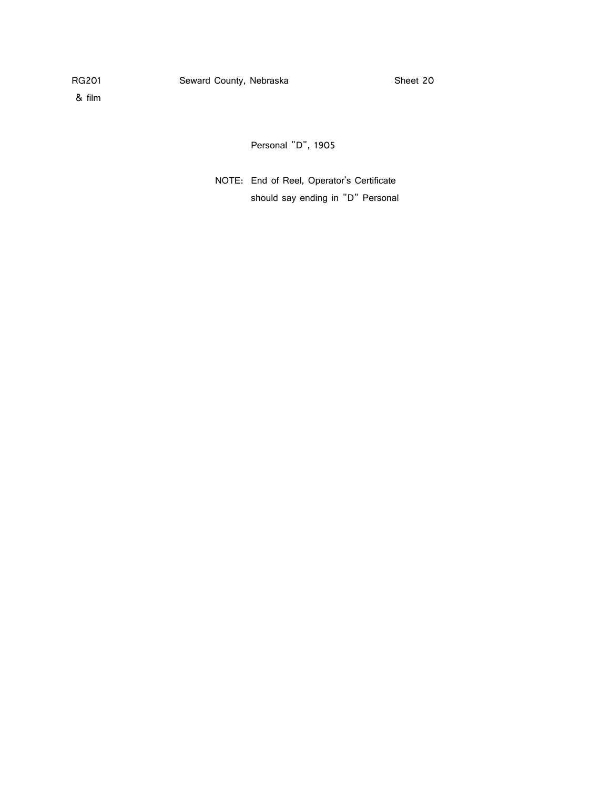& film

Personal "D", 1905

NOTE: End of Reel, Operator's Certificate should say ending in "D" Personal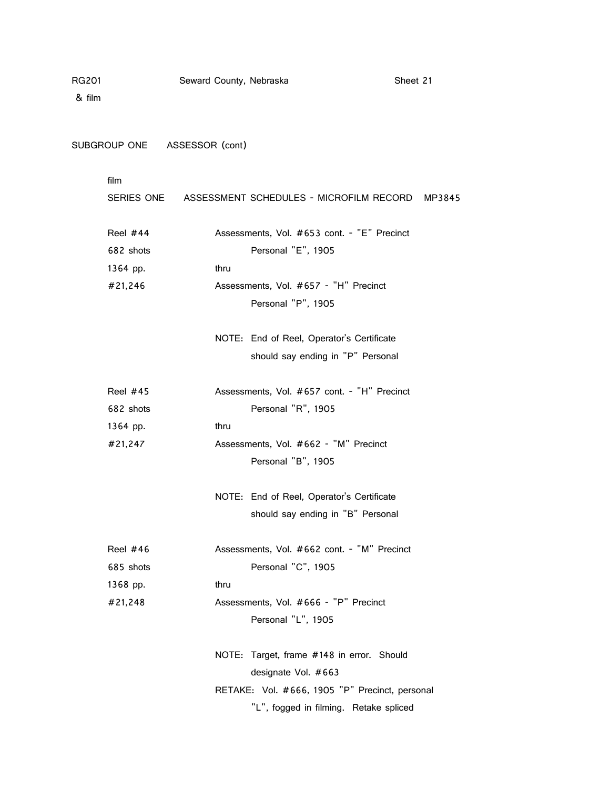& film

SUBGROUP ONE ASSESSOR (cont)

|           | SERIES ONE ASSESSMENT SCHEDULES - MICROFILM RECORD MP3845 |  |
|-----------|-----------------------------------------------------------|--|
| Reel #44  | Assessments, Vol. #653 cont. - "E" Precinct               |  |
| 682 shots | Personal "E", 1905                                        |  |
| 1364 pp.  | thru                                                      |  |
| #21,246   | Assessments, Vol. #657 - "H" Precinct                     |  |
|           | Personal "P", 1905                                        |  |
|           | NOTE: End of Reel, Operator's Certificate                 |  |
|           | should say ending in "P" Personal                         |  |
| Reel #45  | Assessments, Vol. #657 cont. - "H" Precinct               |  |
| 682 shots | Personal "R", 1905                                        |  |
| 1364 pp.  | thru                                                      |  |
| #21,247   | Assessments, Vol. #662 - "M" Precinct                     |  |
|           | Personal "B", 1905                                        |  |
|           | NOTE: End of Reel, Operator's Certificate                 |  |
|           | should say ending in "B" Personal                         |  |
| Reel #46  | Assessments, Vol. #662 cont. - "M" Precinct               |  |
| 685 shots | Personal "C", 1905                                        |  |
| 1368 pp.  | thru                                                      |  |
| #21,248   | Assessments, Vol. #666 - "P" Precinct                     |  |
|           | Personal "L", 1905                                        |  |
|           | NOTE: Target, frame #148 in error. Should                 |  |
|           | designate Vol. #663                                       |  |
|           | RETAKE: Vol. #666, 1905 "P" Precinct, personal            |  |
|           | "L", fogged in filming. Retake spliced                    |  |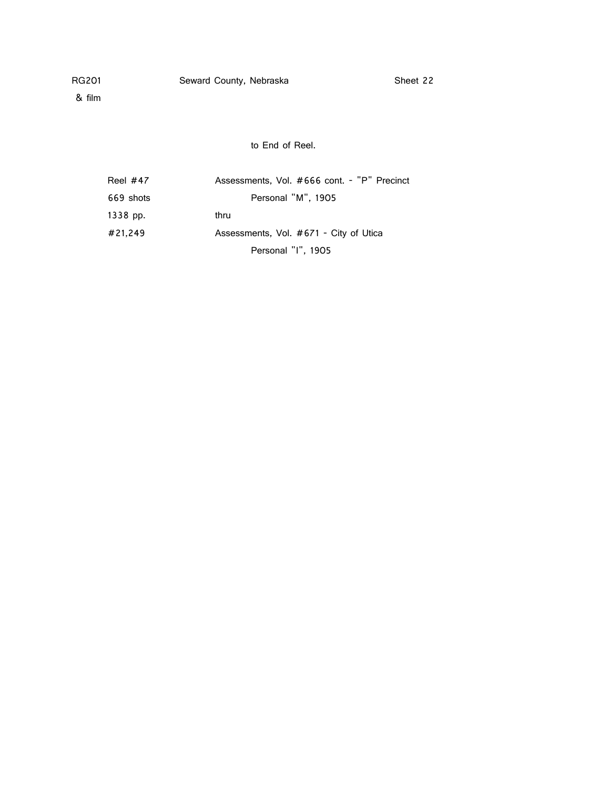& film

to End of Reel.

| Reel $#47$ | Assessments, Vol. #666 cont. - "P" Precinct |
|------------|---------------------------------------------|
| 669 shots  | Personal "M", 1905                          |
| 1338 pp.   | thru                                        |
| #21.249    | Assessments, Vol. #671 - City of Utica      |
|            | Personal "I", 1905                          |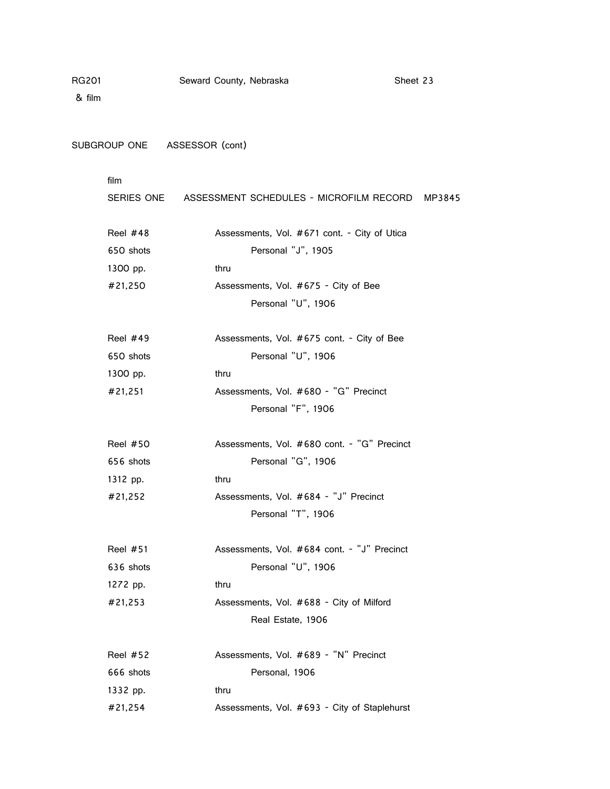& film

SUBGROUP ONE ASSESSOR (cont)

|           | SERIES ONE ASSESSMENT SCHEDULES - MICROFILM RECORD MP3845 |  |
|-----------|-----------------------------------------------------------|--|
| Reel #48  | Assessments, Vol. #671 cont. - City of Utica              |  |
| 650 shots | Personal "J", 1905                                        |  |
| 1300 pp.  | thru                                                      |  |
| #21,250   | Assessments, Vol. #675 - City of Bee                      |  |
|           | Personal "U", 1906                                        |  |
| Reel #49  | Assessments, Vol. #675 cont. - City of Bee                |  |
| 650 shots | Personal "U", 1906                                        |  |
| 1300 pp.  | thru                                                      |  |
| #21,251   | Assessments, Vol. #680 - "G" Precinct                     |  |
|           | Personal "F", 1906                                        |  |
| Reel #50  | Assessments, Vol. #680 cont. - "G" Precinct               |  |
| 656 shots | Personal "G", 1906                                        |  |
| 1312 pp.  | thru                                                      |  |
| #21,252   | Assessments, Vol. #684 - "J" Precinct                     |  |
|           | Personal "T", 1906                                        |  |
| Reel #51  | Assessments, Vol. #684 cont. - "J" Precinct               |  |
| 636 shots | Personal "U", 1906                                        |  |
| 1272 pp.  | thru                                                      |  |
| #21,253   | Assessments, Vol. #688 - City of Milford                  |  |
|           | Real Estate, 1906                                         |  |
| Reel #52  | Assessments, Vol. #689 - "N" Precinct                     |  |
| 666 shots | Personal, 1906                                            |  |
| 1332 pp.  | thru                                                      |  |
| #21,254   | Assessments, Vol. #693 - City of Staplehurst              |  |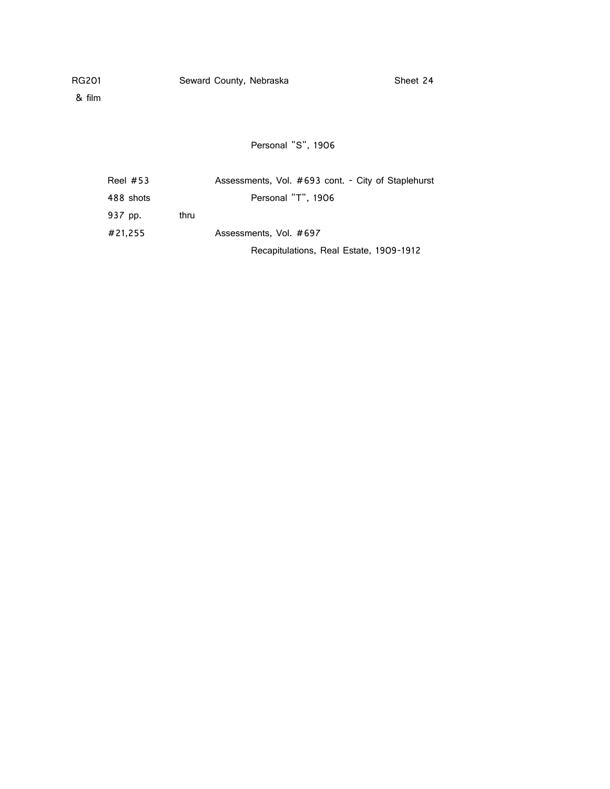& film

Personal "S", 1906

| Reel $#53$ |      | Assessments, Vol. #693 cont. - City of Staplehurst |
|------------|------|----------------------------------------------------|
| 488 shots  |      | Personal "T", 1906                                 |
| 937 pp.    | thru |                                                    |
| #21.255    |      | Assessments, Vol. #697                             |
|            |      | Recapitulations, Real Estate, 1909-1912            |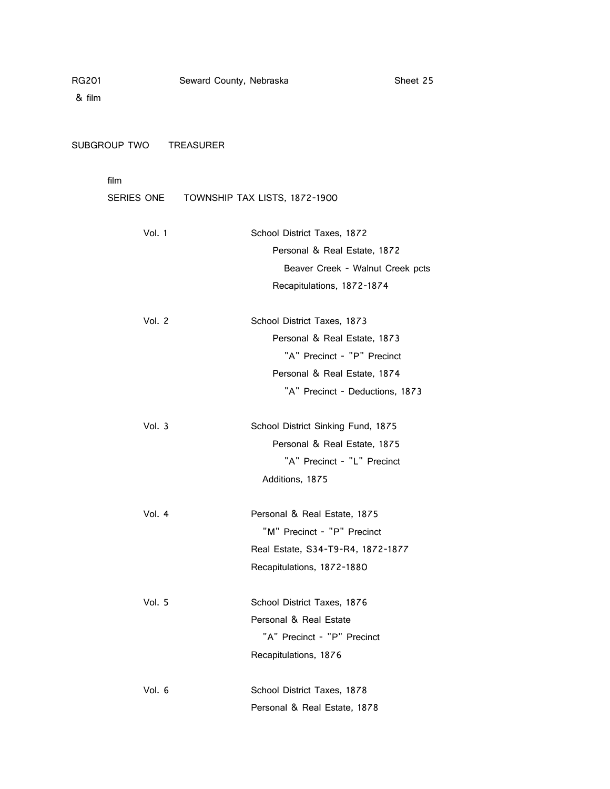SUBGROUP TWO TREASURER

|        | SERIES ONE TOWNSHIP TAX LISTS, 1872-1900 |
|--------|------------------------------------------|
| Vol. 1 | School District Taxes, 1872              |
|        | Personal & Real Estate, 1872             |
|        | Beaver Creek - Walnut Creek pcts         |
|        | Recapitulations, 1872-1874               |
| Vol. 2 | School District Taxes, 1873              |
|        | Personal & Real Estate, 1873             |
|        | "A" Precinct - "P" Precinct              |
|        | Personal & Real Estate, 1874             |
|        | "A" Precinct - Deductions, 1873          |
| Vol. 3 | School District Sinking Fund, 1875       |
|        | Personal & Real Estate, 1875             |
|        | "A" Precinct - "L" Precinct              |
|        | Additions, 1875                          |
| Vol. 4 | Personal & Real Estate, 1875             |
|        | "M" Precinct - "P" Precinct              |
|        | Real Estate, S34-T9-R4, 1872-1877        |
|        | Recapitulations, 1872-1880               |
| Vol. 5 | School District Taxes, 1876              |
|        | Personal & Real Estate                   |
|        | "A" Precinct - "P" Precinct              |
|        | Recapitulations, 1876                    |
| Vol. 6 | School District Taxes, 1878              |
|        | Personal & Real Estate, 1878             |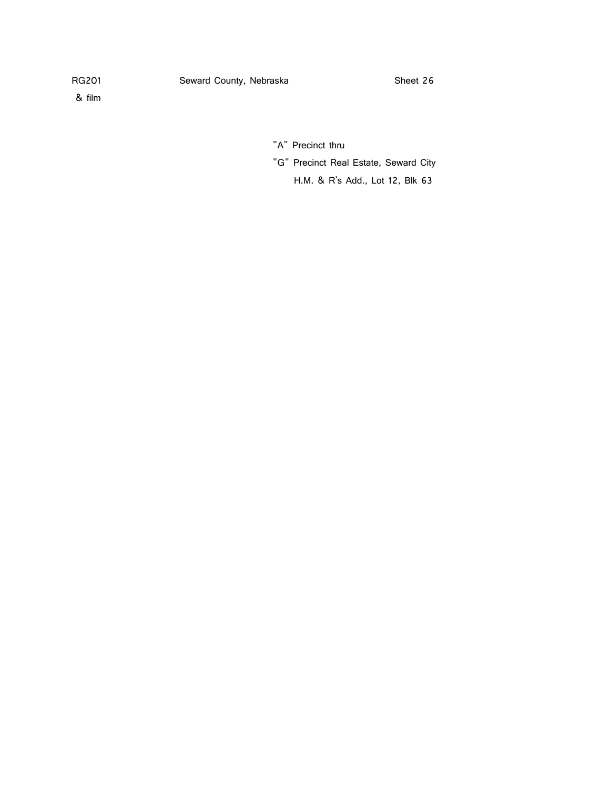"A" Precinct thru

"G" Precinct Real Estate, Seward City

H.M. & R's Add., Lot 12, Blk 63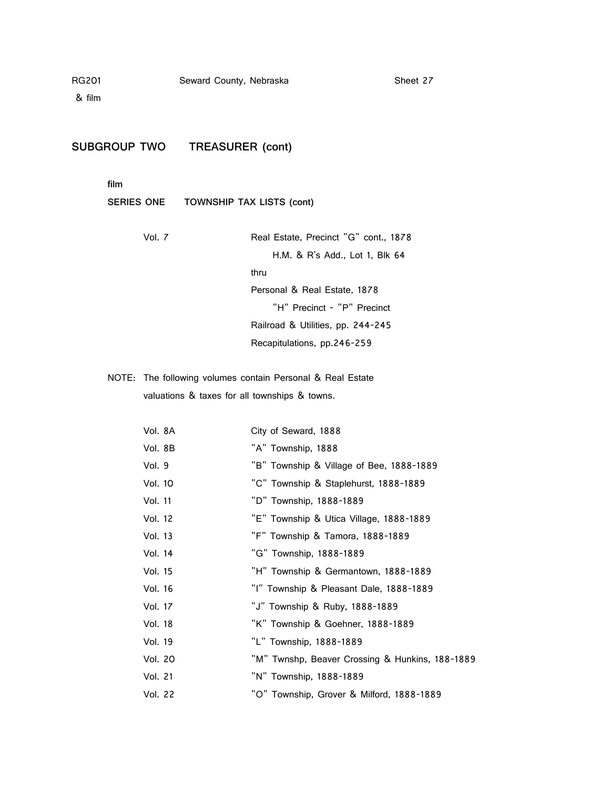& film

# **SUBGROUP TWO TREASURER (cont)**

**film**

# **SERIES ONE TOWNSHIP TAX LISTS (cont)**

| Vol. 7 | Real Estate, Precinct "G" cont., 1878 |
|--------|---------------------------------------|
|        | H.M. & R's Add., Lot 1, Blk 64        |
|        | thru                                  |
|        | Personal & Real Estate, 1878          |
|        | "H" Precinct - "P" Precinct           |
|        | Railroad & Utilities, pp. 244-245     |
|        | Recapitulations, pp.246-259           |

NOTE: The following volumes contain Personal & Real Estate valuations & taxes for all townships & towns.

| Vol. 8A        | City of Seward, 1888                            |
|----------------|-------------------------------------------------|
| Vol. 8B        | "A" Township, 1888                              |
| Vol. 9         | "B" Township & Village of Bee, 1888-1889        |
| Vol. 10        | "C" Township & Staplehurst, 1888-1889           |
| Vol. 11        | "D" Township, 1888-1889                         |
| Vol. 12        | "E" Township & Utica Village, 1888-1889         |
| Vol. 13        | "F" Township & Tamora, 1888-1889                |
| Vol. 14        | "G" Township, 1888-1889                         |
| Vol. 15        | "H" Township & Germantown, 1888-1889            |
| Vol. 16        | "I" Township & Pleasant Dale, 1888-1889         |
| Vol. 17        | "J" Township & Ruby, 1888-1889                  |
| <b>Vol. 18</b> | "K" Township & Goehner, 1888-1889               |
| Vol. 19        | "L" Township, 1888-1889                         |
| Vol. 20        | "M" Twnshp, Beaver Crossing & Hunkins, 188-1889 |
| Vol. 21        | "N" Township, 1888-1889                         |
| Vol. 22        | "O" Township, Grover & Milford, 1888-1889       |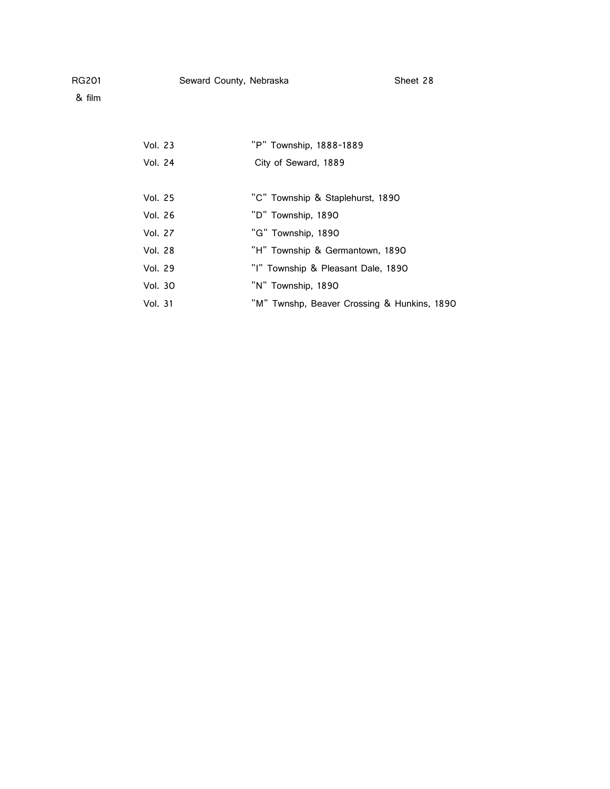& film

Vol. 23 "P" Township, 1888-1889 Vol. 24 City of Seward, 1889 Vol. 25 "C" Township & Staplehurst, 1890 Vol. 26 "D" Township, 1890 Vol. 27 "G" Township, 1890 Vol. 28 "H" Township & Germantown, 1890 Vol. 29 "I" Township & Pleasant Dale, 1890 Vol. 30 "N" Township, 1890 Vol. 31 "M" Twnshp, Beaver Crossing & Hunkins, 1890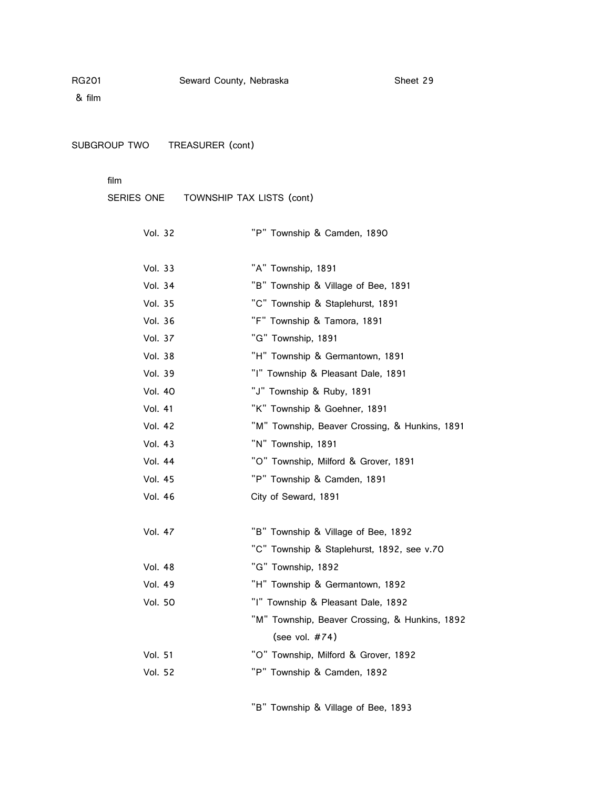SUBGROUP TWO TREASURER (cont)

film

SERIES ONE TOWNSHIP TAX LISTS (cont)

| Vol. 32        | "P" Township & Camden, 1890                    |
|----------------|------------------------------------------------|
| Vol. 33        | "A" Township, 1891                             |
| Vol. 34        | "B" Township & Village of Bee, 1891            |
| Vol. 35        | "C" Township & Staplehurst, 1891               |
| Vol. 36        | "F" Township & Tamora, 1891                    |
| <b>Vol. 37</b> | "G" Township, 1891                             |
| Vol. 38        | "H" Township & Germantown, 1891                |
| Vol. 39        | "I" Township & Pleasant Dale, 1891             |
| <b>Vol. 40</b> | "J" Township & Ruby, 1891                      |
| <b>Vol. 41</b> | "K" Township & Goehner, 1891                   |
| Vol. 42        | "M" Township, Beaver Crossing, & Hunkins, 1891 |
| <b>Vol. 43</b> | "N" Township, 1891                             |
| Vol. 44        | "O" Township, Milford & Grover, 1891           |
| Vol. 45        | "P" Township & Camden, 1891                    |
| Vol. 46        | City of Seward, 1891                           |
|                |                                                |
| Vol. 47        | "B" Township & Village of Bee, 1892            |
|                | "C" Township & Staplehurst, 1892, see v.70     |
| Vol. 48        | "G" Township, 1892                             |
| <b>Vol. 49</b> | "H" Township & Germantown, 1892                |
| <b>Vol. 50</b> | "I" Township & Pleasant Dale, 1892             |
|                | "M" Township, Beaver Crossing, & Hunkins, 1892 |
|                | (see vol. #74)                                 |
| <b>Vol. 51</b> | "O" Township, Milford & Grover, 1892           |
| Vol. 52        | "P" Township & Camden, 1892                    |

"B" Township & Village of Bee, 1893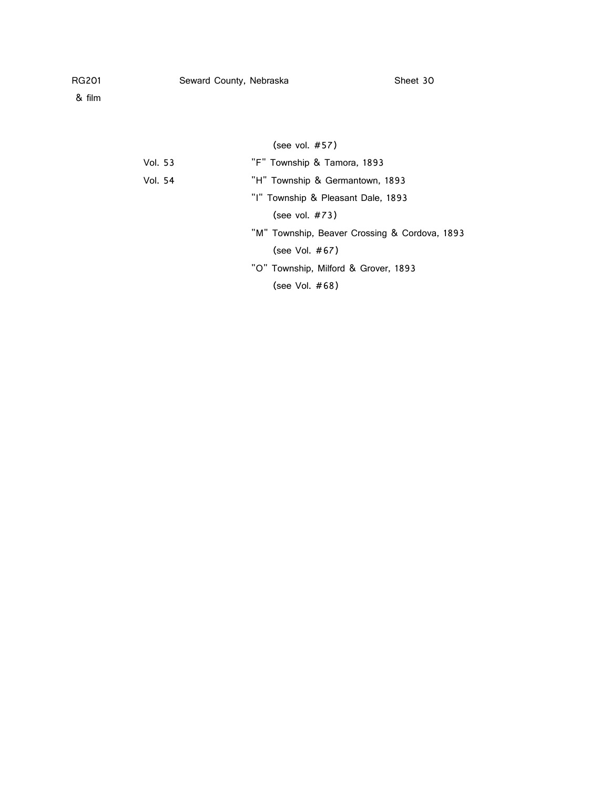| Vol. 53 | "F" Township & Tamora, 1893                   |
|---------|-----------------------------------------------|
| Vol. 54 | "H" Township & Germantown, 1893               |
|         | "I" Township & Pleasant Dale, 1893            |
|         | (see vol. $#73$ )                             |
|         | "M" Township, Beaver Crossing & Cordova, 1893 |
|         | (see Vol. $#67$ )                             |
|         | "O" Township, Milford & Grover, 1893          |
|         | (see Vol. $#68$ )                             |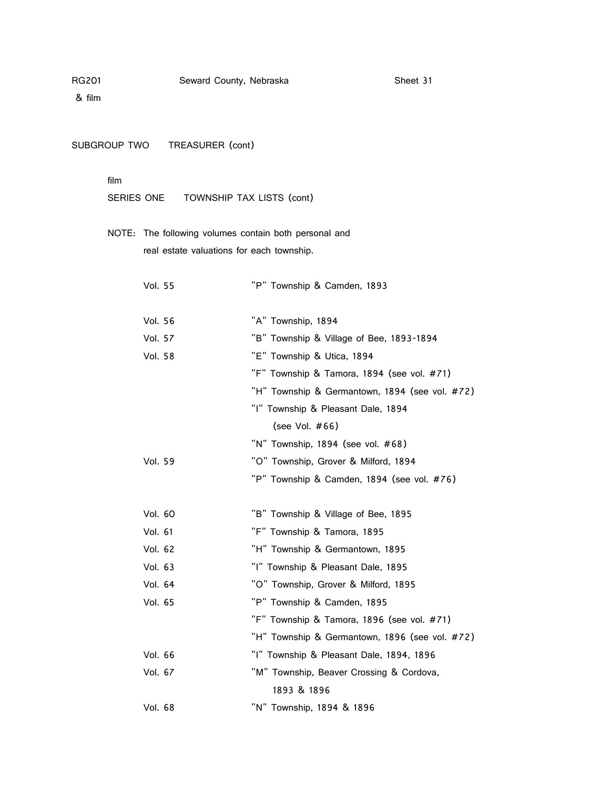& film

SUBGROUP TWO TREASURER (cont)

### film

SERIES ONE TOWNSHIP TAX LISTS (cont)

NOTE: The following volumes contain both personal and real estate valuations for each township.

| <b>Vol. 55</b> | "P" Township & Camden, 1893                    |
|----------------|------------------------------------------------|
| Vol. 56        | "A" Township, 1894                             |
| <b>Vol. 57</b> | "B" Township & Village of Bee, 1893-1894       |
| Vol. 58        | "E" Township & Utica, 1894                     |
|                | "F" Township & Tamora, 1894 (see vol. #71)     |
|                | "H" Township & Germantown, 1894 (see vol. #72) |
|                | "I" Township & Pleasant Dale, 1894             |
|                | (see Vol. #66)                                 |
|                | "N" Township, 1894 (see vol. #68)              |
| Vol. 59        | "O" Township, Grover & Milford, 1894           |
|                | "P" Township & Camden, 1894 (see vol. #76)     |
| Vol. 60        | "B" Township & Village of Bee, 1895            |
| Vol. 61        | "F" Township & Tamora, 1895                    |
| Vol. 62        | "H" Township & Germantown, 1895                |
| Vol. 63        | "I" Township & Pleasant Dale, 1895             |
| Vol. 64        | "O" Township, Grover & Milford, 1895           |
| Vol. 65        | "P" Township & Camden, 1895                    |
|                | "F" Township & Tamora, 1896 (see vol. #71)     |
|                | "H" Township & Germantown, 1896 (see vol. #72) |
| Vol. 66        | "I" Township & Pleasant Dale, 1894, 1896       |
| Vol. 67        | "M" Township, Beaver Crossing & Cordova,       |
|                | 1893 & 1896                                    |
| Vol. 68        | "N" Township, 1894 & 1896                      |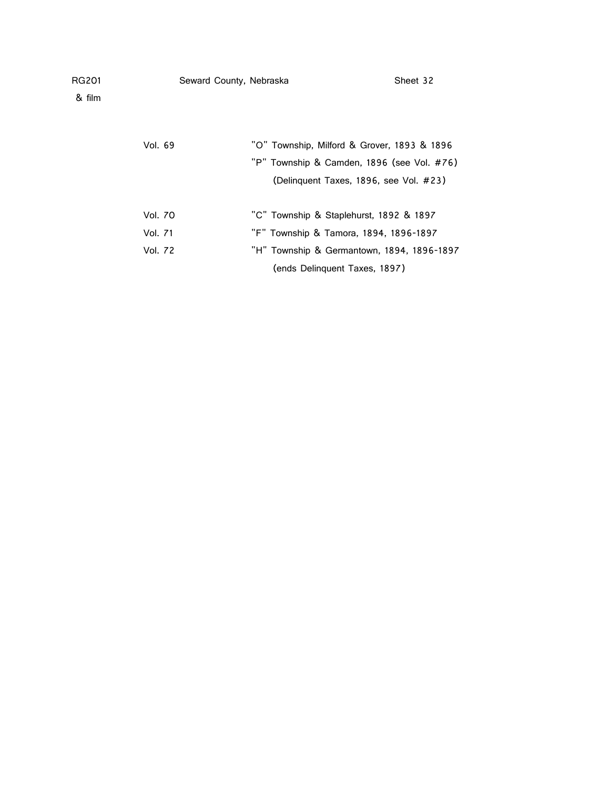| RG201<br>& film |                | Seward County, Nebraska |                                             | Sheet 32 |
|-----------------|----------------|-------------------------|---------------------------------------------|----------|
|                 |                |                         |                                             |          |
|                 | Vol. 69        |                         | "O" Township, Milford & Grover, 1893 & 1896 |          |
|                 |                |                         | "P" Township & Camden, 1896 (see Vol. #76)  |          |
|                 |                |                         | (Delinguent Taxes, 1896, see Vol. #23)      |          |
|                 |                |                         |                                             |          |
|                 | <b>Vol. 70</b> |                         | "C" Township & Staplehurst, 1892 & 1897     |          |
|                 | Vol. 71        |                         | "F" Township & Tamora, 1894, 1896-1897      |          |
|                 | <b>Vol. 72</b> |                         | "H" Township & Germantown, 1894, 1896-1897  |          |

(ends Delinquent Taxes, 1897)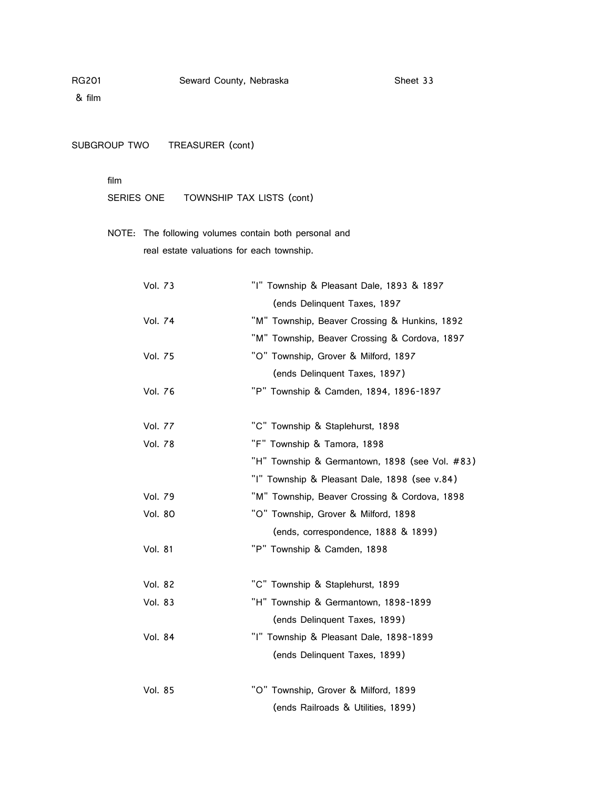SUBGROUP TWO TREASURER (cont)

### film

SERIES ONE TOWNSHIP TAX LISTS (cont)

NOTE: The following volumes contain both personal and real estate valuations for each township.

| Vol. 73        | "I" Township & Pleasant Dale, 1893 & 1897      |
|----------------|------------------------------------------------|
|                | (ends Delinquent Taxes, 1897                   |
| Vol. 74        | "M" Township, Beaver Crossing & Hunkins, 1892  |
|                | "M" Township, Beaver Crossing & Cordova, 1897  |
| <b>Vol. 75</b> | "O" Township, Grover & Milford, 1897           |
|                | (ends Delinquent Taxes, 1897)                  |
| Vol. 76        | "P" Township & Camden, 1894, 1896-1897         |
| <b>Vol. 77</b> | "C" Township & Staplehurst, 1898               |
| Vol. 78        | "F" Township & Tamora, 1898                    |
|                | "H" Township & Germantown, 1898 (see Vol. #83) |
|                | "I" Township & Pleasant Dale, 1898 (see v.84)  |
| Vol. 79        | "M" Township, Beaver Crossing & Cordova, 1898  |
| Vol. 80        | "O" Township, Grover & Milford, 1898           |
|                | (ends, correspondence, 1888 & 1899)            |
| <b>Vol. 81</b> | "P" Township & Camden, 1898                    |
| Vol. 82        | "C" Township & Staplehurst, 1899               |
| Vol. 83        | "H" Township & Germantown, 1898-1899           |
|                | (ends Delinquent Taxes, 1899)                  |
| Vol. 84        | "I" Township & Pleasant Dale, 1898-1899        |
|                | (ends Delinquent Taxes, 1899)                  |
| Vol. 85        | "O" Township, Grover & Milford, 1899           |
|                | (ends Railroads & Utilities, 1899)             |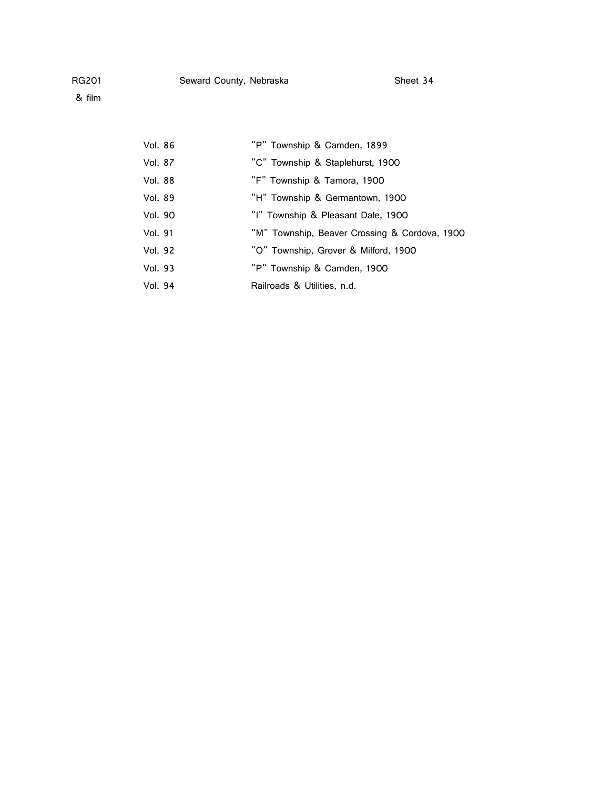& film

| Vol. 86 | "P" Township & Camden, 1899                   |
|---------|-----------------------------------------------|
| Vol. 87 | "C" Township & Staplehurst, 1900              |
| Vol. 88 | "F" Township & Tamora, 1900                   |
| Vol. 89 | "H" Township & Germantown, 1900               |
| Vol. 90 | "I" Township & Pleasant Dale, 1900            |
| Vol. 91 | "M" Township, Beaver Crossing & Cordova, 1900 |
| Vol. 92 | "O" Township, Grover & Milford, 1900          |
| Vol. 93 | "P" Township & Camden, 1900                   |
| Vol. 94 | Railroads & Utilities, n.d.                   |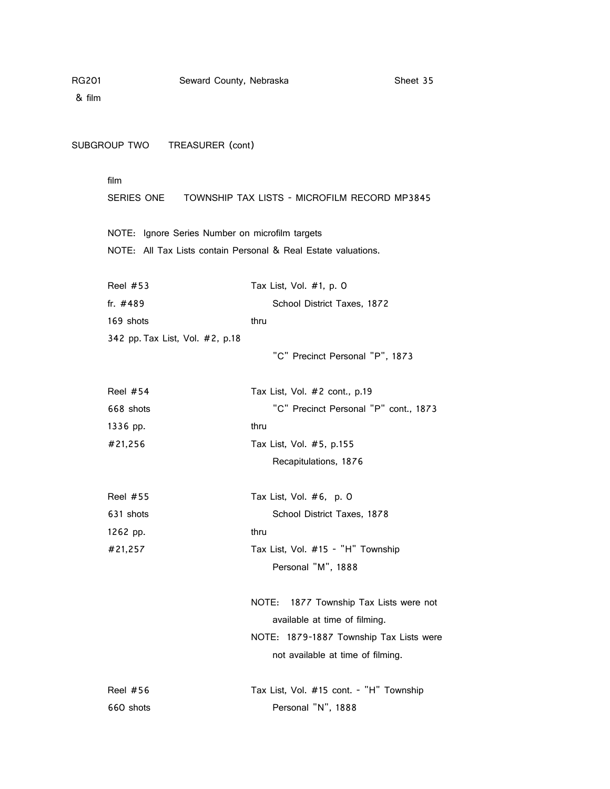| RG201  | Seward County, Nebraska                                        |                               | Sheet 35                                |
|--------|----------------------------------------------------------------|-------------------------------|-----------------------------------------|
| & film |                                                                |                               |                                         |
|        |                                                                |                               |                                         |
|        | SUBGROUP TWO TREASURER (cont)                                  |                               |                                         |
|        | film                                                           |                               |                                         |
|        | SERIES ONE   TOWNSHIP TAX LISTS - MICROFILM RECORD MP3845      |                               |                                         |
|        | NOTE: Ignore Series Number on microfilm targets                |                               |                                         |
|        | NOTE: All Tax Lists contain Personal & Real Estate valuations. |                               |                                         |
|        | <b>Reel #53</b>                                                | Tax List, Vol. #1, p. 0       |                                         |
|        | fr. #489                                                       |                               | School District Taxes, 1872             |
|        | 169 shots                                                      | thru                          |                                         |
|        | 342 pp. Tax List, Vol. #2, p.18                                |                               |                                         |
|        |                                                                |                               | "C" Precinct Personal "P", 1873         |
|        | <b>Reel #54</b>                                                | Tax List, Vol. #2 cont., p.19 |                                         |
|        | 668 shots                                                      |                               | "C" Precinct Personal "P" cont., 1873   |
|        | 1336 pp.                                                       | thru                          |                                         |
|        | #21,256                                                        | Tax List, Vol. #5, p.155      |                                         |
|        |                                                                | Recapitulations, 1876         |                                         |
|        | <b>Reel #55</b>                                                | Tax List, Vol. #6, p. 0       |                                         |
|        | 631 shots                                                      |                               | School District Taxes, 1878             |
|        | 1262 pp.                                                       | thru                          |                                         |
|        | #21,257                                                        |                               | Tax List, Vol. #15 - "H" Township       |
|        |                                                                | Personal "M", 1888            |                                         |
|        |                                                                | NOTE:                         | 1877 Township Tax Lists were not        |
|        |                                                                |                               | available at time of filming.           |
|        |                                                                |                               | NOTE: 1879-1887 Township Tax Lists were |
|        |                                                                |                               | not available at time of filming.       |
|        | <b>Reel #56</b>                                                |                               | Tax List, Vol. #15 cont. - "H" Township |
|        | 660 shots                                                      | Personal "N", 1888            |                                         |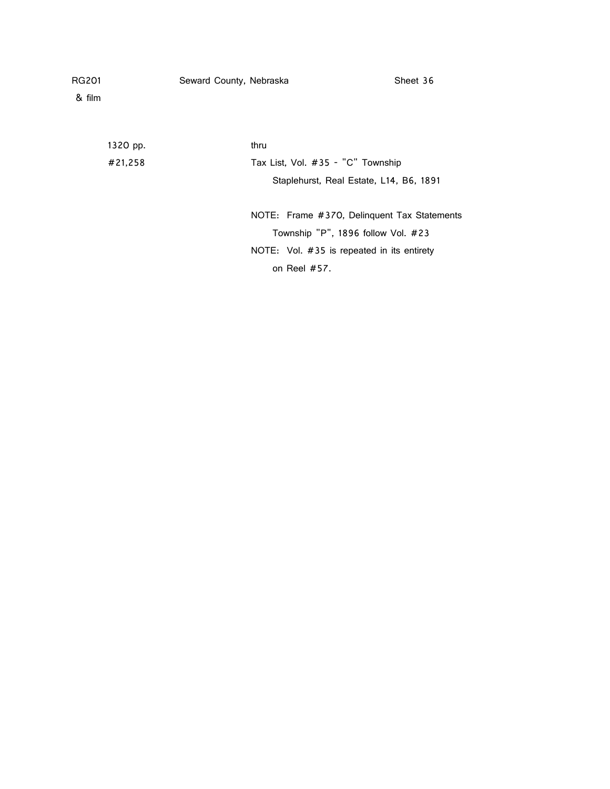& film

| 1320 pp. | thru                                         |
|----------|----------------------------------------------|
| #21,258  | Tax List, Vol. #35 - "C" Township            |
|          | Staplehurst, Real Estate, L14, B6, 1891      |
|          | NOTE: Frame #370, Delinguent Tax Statements  |
|          | Township "P", 1896 follow Vol. #23           |
|          | NOTE: Vol. $#35$ is repeated in its entirety |
|          | on Reel $#57$ .                              |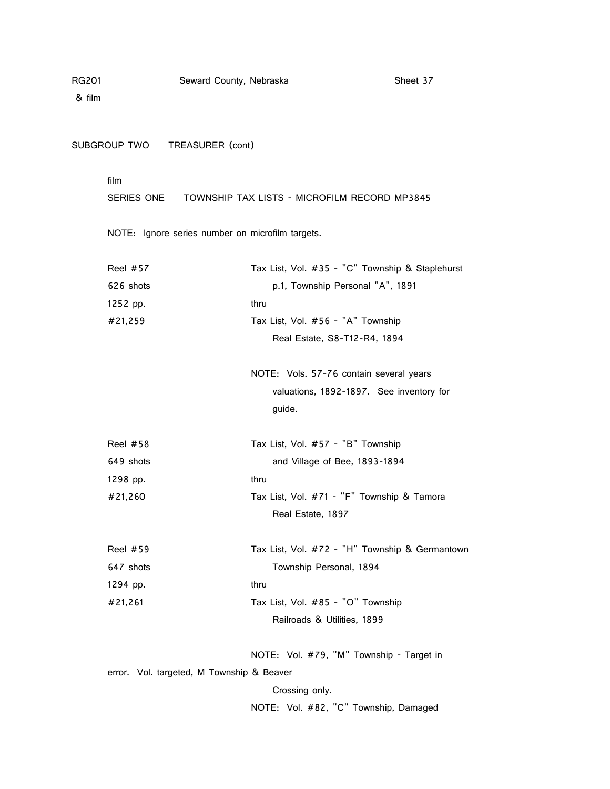& film

SUBGROUP TWO TREASURER (cont)

film

SERIES ONE TOWNSHIP TAX LISTS - MICROFILM RECORD MP3845

NOTE: Ignore series number on microfilm targets.

| <b>Reel #57</b>                           | Tax List, Vol. #35 - "C" Township & Staplehurst |  |
|-------------------------------------------|-------------------------------------------------|--|
| 626 shots                                 | p.1, Township Personal "A", 1891                |  |
| 1252 pp.                                  | thru                                            |  |
| #21,259                                   | Tax List, Vol. #56 - "A" Township               |  |
|                                           | Real Estate, S8-T12-R4, 1894                    |  |
|                                           |                                                 |  |
|                                           | NOTE: Vols. 57-76 contain several years         |  |
|                                           | valuations, 1892-1897. See inventory for        |  |
|                                           | guide.                                          |  |
|                                           |                                                 |  |
| <b>Reel #58</b>                           | Tax List, Vol. #57 - "B" Township               |  |
| 649 shots                                 | and Village of Bee, 1893-1894                   |  |
| 1298 pp.                                  | thru                                            |  |
| #21,260                                   | Tax List, Vol. #71 - "F" Township & Tamora      |  |
|                                           | Real Estate, 1897                               |  |
| Reel $#59$                                | Tax List, Vol. #72 - "H" Township & Germantown  |  |
|                                           |                                                 |  |
| 647 shots                                 | Township Personal, 1894                         |  |
| 1294 pp.                                  | thru                                            |  |
| #21,261                                   | Tax List, Vol. #85 - "O" Township               |  |
|                                           | Railroads & Utilities, 1899                     |  |
|                                           | NOTE: Vol. #79, "M" Township - Target in        |  |
| error. Vol. targeted, M Township & Beaver |                                                 |  |
|                                           | Crossing only.                                  |  |
|                                           |                                                 |  |
|                                           | NOTE: Vol. #82, "C" Township, Damaged           |  |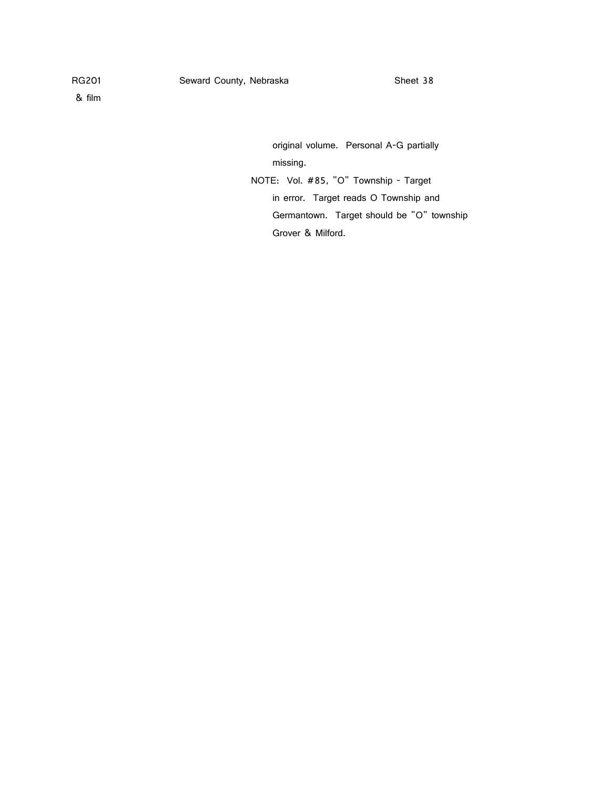original volume. Personal A-G partially missing.

NOTE: Vol. #85, "O" Township - Target in error. Target reads O Township and Germantown. Target should be "O" township Grover & Milford.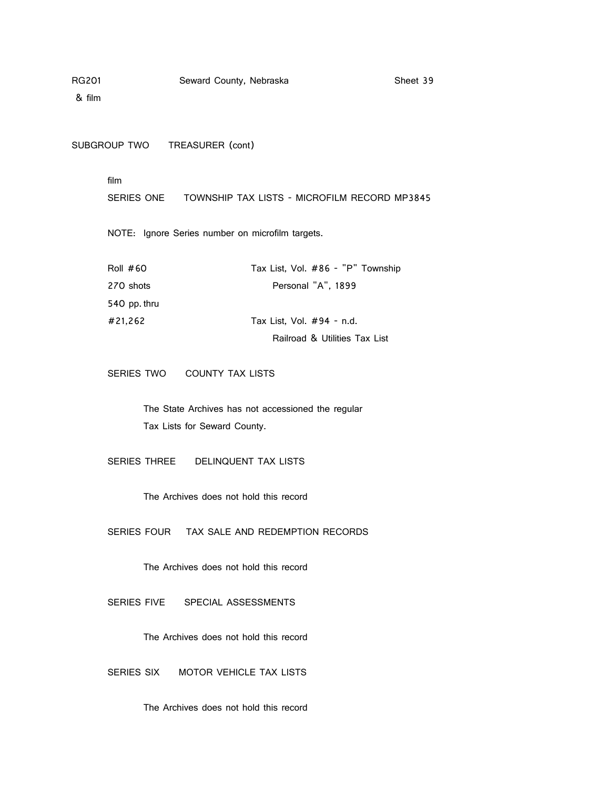& film

SUBGROUP TWO TREASURER (cont)

film

SERIES ONE TOWNSHIP TAX LISTS - MICROFILM RECORD MP3845

NOTE: Ignore Series number on microfilm targets.

| Roll $#60$   | Tax List, Vol. #86 - "P" Township |
|--------------|-----------------------------------|
| 270 shots    | Personal "A", 1899                |
| 540 pp. thru |                                   |
| #21,262      | Tax List, Vol. #94 - n.d.         |
|              | Railroad & Utilities Tax List     |

SERIES TWO COUNTY TAX LISTS

The State Archives has not accessioned the regular Tax Lists for Seward County.

SERIES THREE DELINQUENT TAX LISTS

The Archives does not hold this record

SERIES FOUR TAX SALE AND REDEMPTION RECORDS

The Archives does not hold this record

SERIES FIVE SPECIAL ASSESSMENTS

The Archives does not hold this record

SERIES SIX MOTOR VEHICLE TAX LISTS

The Archives does not hold this record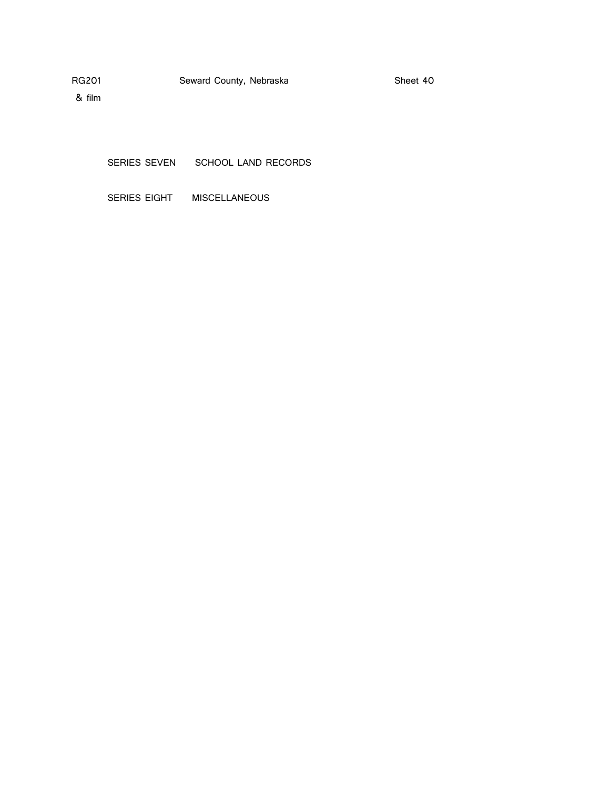& film

SERIES SEVEN SCHOOL LAND RECORDS

SERIES EIGHT MISCELLANEOUS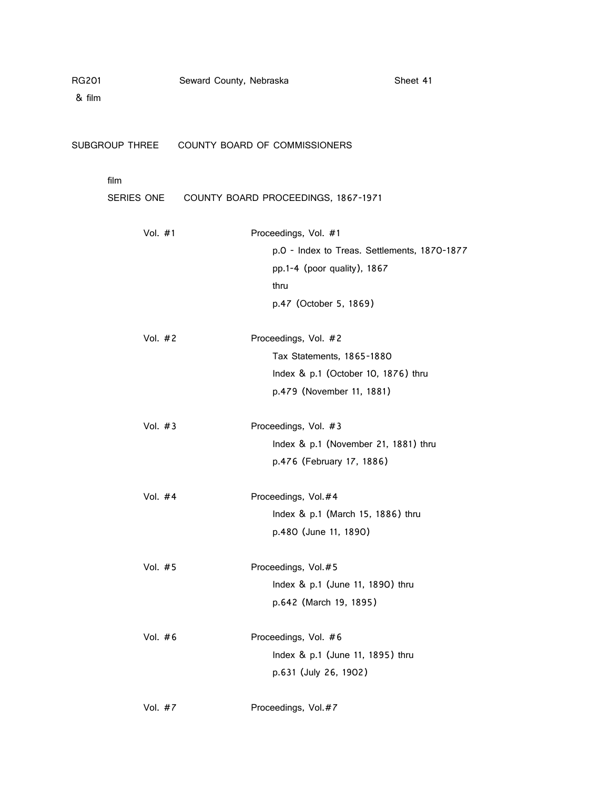| RG201<br>& film | Seward County, Nebraska |                                              | Sheet 41 |
|-----------------|-------------------------|----------------------------------------------|----------|
| SUBGROUP THREE  |                         | COUNTY BOARD OF COMMISSIONERS                |          |
| film            |                         |                                              |          |
| SERIES ONE      |                         | COUNTY BOARD PROCEEDINGS, 1867-1971          |          |
| Vol. #1         |                         | Proceedings, Vol. #1                         |          |
|                 |                         | p.0 - Index to Treas. Settlements, 1870-1877 |          |
|                 |                         | pp.1-4 (poor quality), 1867                  |          |
|                 |                         | thru                                         |          |
|                 |                         | p.47 (October 5, 1869)                       |          |
| Vol. #2         |                         | Proceedings, Vol. #2                         |          |
|                 |                         | Tax Statements, 1865-1880                    |          |
|                 |                         | Index & p.1 (October 10, 1876) thru          |          |
|                 |                         | p.479 (November 11, 1881)                    |          |
| Vol. $#3$       |                         | Proceedings, Vol. #3                         |          |
|                 |                         | Index & p.1 (November 21, 1881) thru         |          |
|                 |                         | p.476 (February 17, 1886)                    |          |
| Vol. $#4$       |                         | Proceedings, Vol.#4                          |          |
|                 |                         | Index & p.1 (March 15, 1886) thru            |          |
|                 |                         | p.480 (June 11, 1890)                        |          |
| Vol. #5         |                         | Proceedings, Vol.#5                          |          |
|                 |                         | Index & p.1 (June 11, 1890) thru             |          |
|                 |                         | p.642 (March 19, 1895)                       |          |
| Vol. #6         |                         | Proceedings, Vol. #6                         |          |
|                 |                         | Index & p.1 (June 11, 1895) thru             |          |
|                 |                         | p.631 (July 26, 1902)                        |          |
| Vol. #7         |                         | Proceedings, Vol. #7                         |          |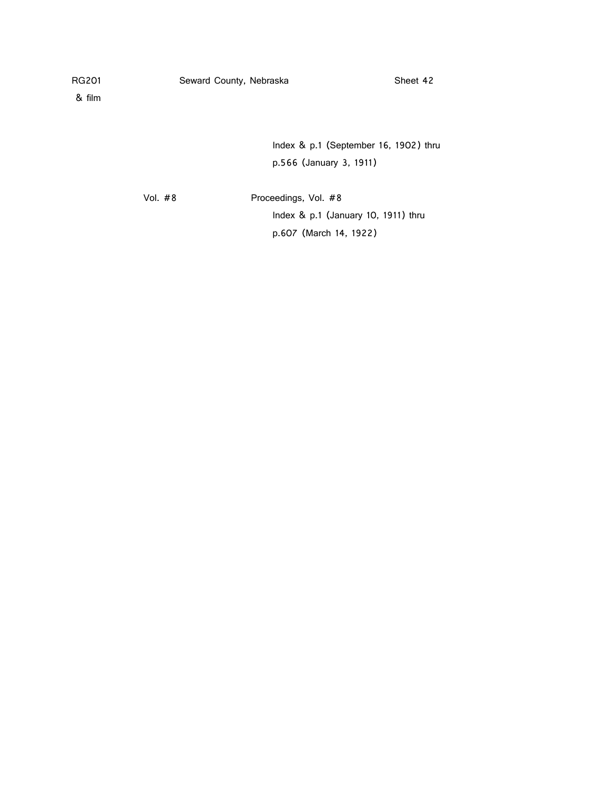& film

Index & p.1 (September 16, 1902) thru p.566 (January 3, 1911)

Vol. #8 Proceedings, Vol. #8 Index & p.1 (January 10, 1911) thru p.607 (March 14, 1922)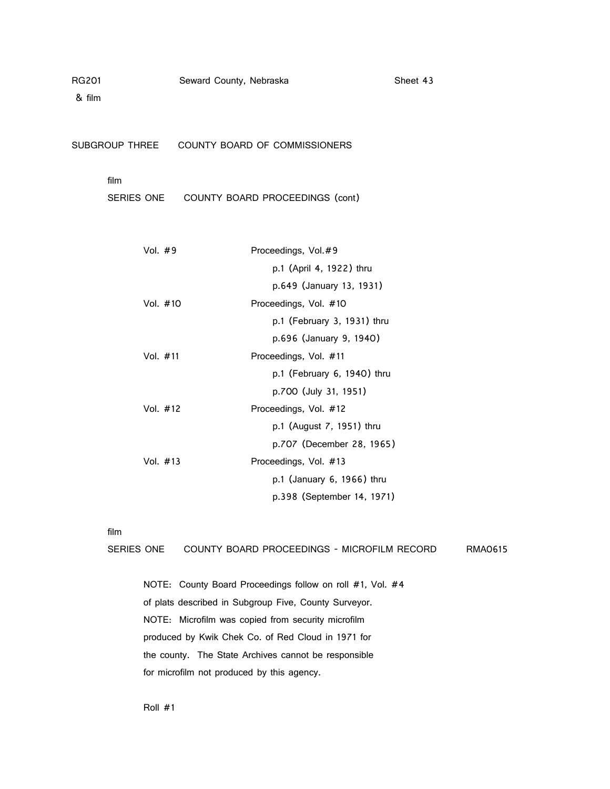& film

SUBGROUP THREE COUNTY BOARD OF COMMISSIONERS

### film

SERIES ONE COUNTY BOARD PROCEEDINGS (cont)

| Vol. $#9$  | Proceedings, Vol. #9          |
|------------|-------------------------------|
|            | p.1 (April 4, 1922) thru      |
|            | p.649 (January 13, 1931)      |
| Vol. #10   | Proceedings, Vol. #10         |
|            | $p.1$ (February 3, 1931) thru |
|            | p.696 (January 9, 1940)       |
| Vol. $#11$ | Proceedings, Vol. #11         |
|            | p.1 (February 6, 1940) thru   |
|            | p.700 (July 31, 1951)         |
| Vol. $#12$ | Proceedings, Vol. #12         |
|            | p.1 (August 7, 1951) thru     |
|            | p.707 (December 28, 1965)     |
| Vol. $#13$ | Proceedings, Vol. #13         |
|            | p.1 (January 6, 1966) thru    |
|            | p.398 (September 14, 1971)    |
|            |                               |

film

SERIES ONE COUNTY BOARD PROCEEDINGS - MICROFILM RECORD RMA0615

NOTE: County Board Proceedings follow on roll #1, Vol. #4 of plats described in Subgroup Five, County Surveyor. NOTE: Microfilm was copied from security microfilm produced by Kwik Chek Co. of Red Cloud in 1971 for the county. The State Archives cannot be responsible for microfilm not produced by this agency.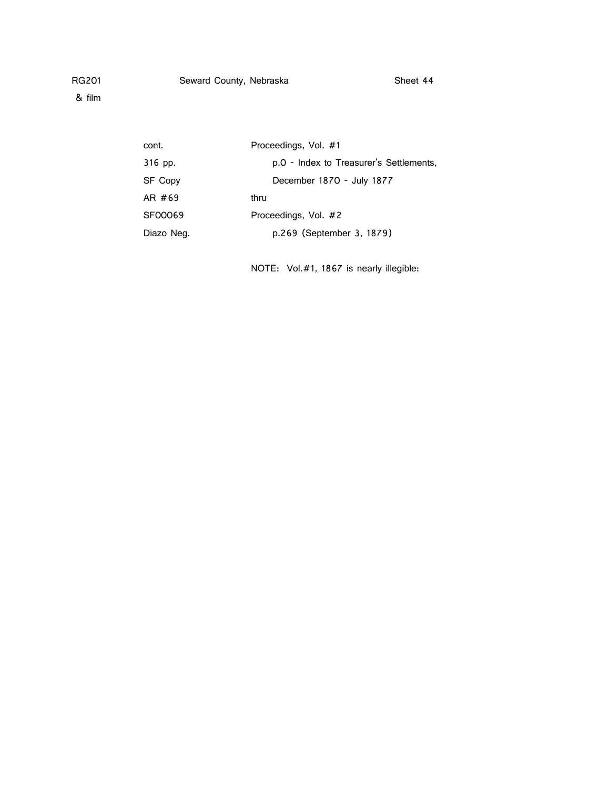& film

| cont.          | Proceedings, Vol. #1                    |
|----------------|-----------------------------------------|
| 316 pp.        | p.0 - Index to Treasurer's Settlements, |
| <b>SF Copy</b> | December 1870 - July 1877               |
| AR #69         | thru                                    |
| SF00069        | Proceedings, Vol. #2                    |
| Diazo Neg.     | p.269 (September 3, 1879)               |

NOTE: Vol.#1, 1867 is nearly illegible: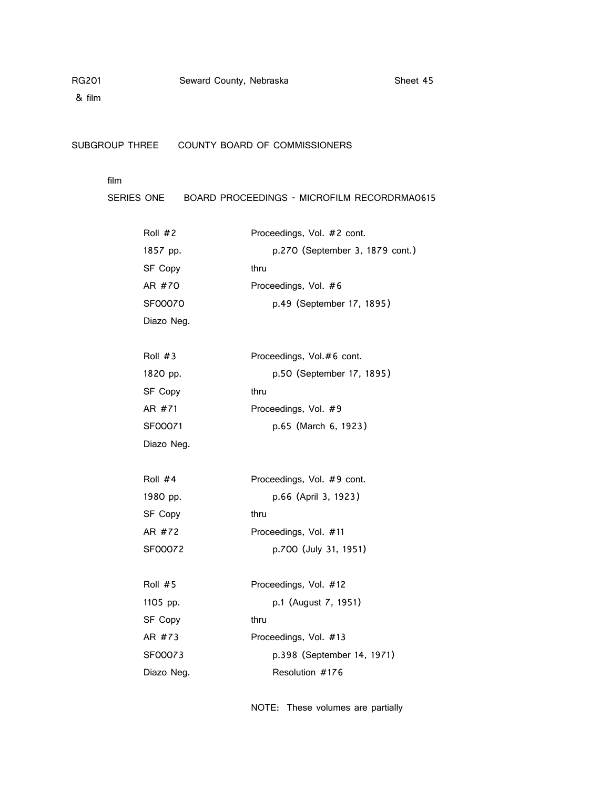& film

SUBGROUP THREE COUNTY BOARD OF COMMISSIONERS

# film

SERIES ONE BOARD PROCEEDINGS - MICROFILM RECORDRMA0615

| Roll $#2$  | Proceedings, Vol. #2 cont.      |  |
|------------|---------------------------------|--|
| 1857 pp.   | p.270 (September 3, 1879 cont.) |  |
| SF Copy    | thru                            |  |
| AR #70     | Proceedings, Vol. #6            |  |
| SF00070    | p.49 (September 17, 1895)       |  |
| Diazo Neg. |                                 |  |
|            |                                 |  |
| Roll $#3$  | Proceedings, Vol.#6 cont.       |  |
| 1820 pp.   | p.50 (September 17, 1895)       |  |
| SF Copy    | thru                            |  |
| AR #71     | Proceedings, Vol. #9            |  |
| SF00071    | p.65 (March 6, 1923)            |  |
| Diazo Neg. |                                 |  |
|            |                                 |  |
| Roll #4    | Proceedings, Vol. #9 cont.      |  |
| 1980 pp.   | p.66 (April 3, 1923)            |  |
| SF Copy    | thru                            |  |
| AR #72     | Proceedings, Vol. #11           |  |
| SF00072    | p.700 (July 31, 1951)           |  |
|            |                                 |  |
| Roll $#5$  | Proceedings, Vol. #12           |  |
| 1105 pp.   | p.1 (August 7, 1951)            |  |
| SF Copy    | thru                            |  |
| AR #73     | Proceedings, Vol. #13           |  |
| SF00073    | p.398 (September 14, 1971)      |  |
| Diazo Neg. | Resolution #176                 |  |

NOTE: These volumes are partially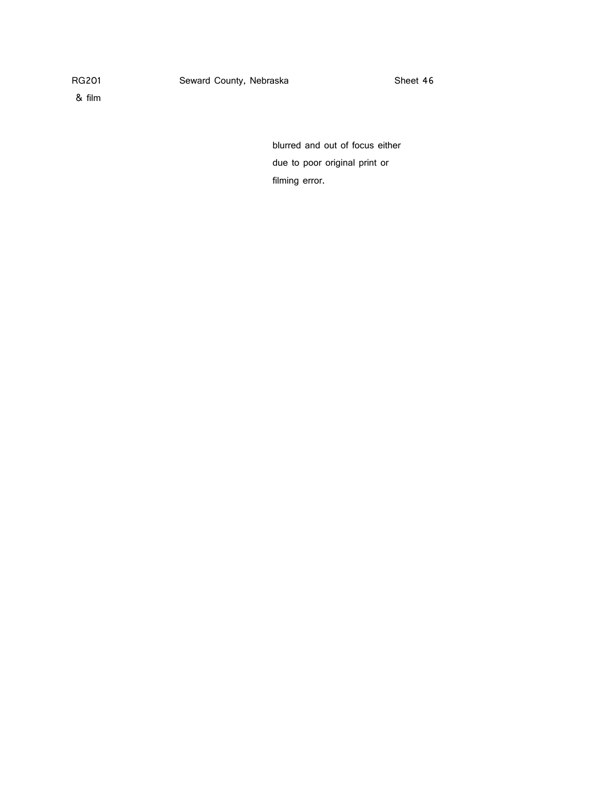& film

blurred and out of focus either due to poor original print or filming error.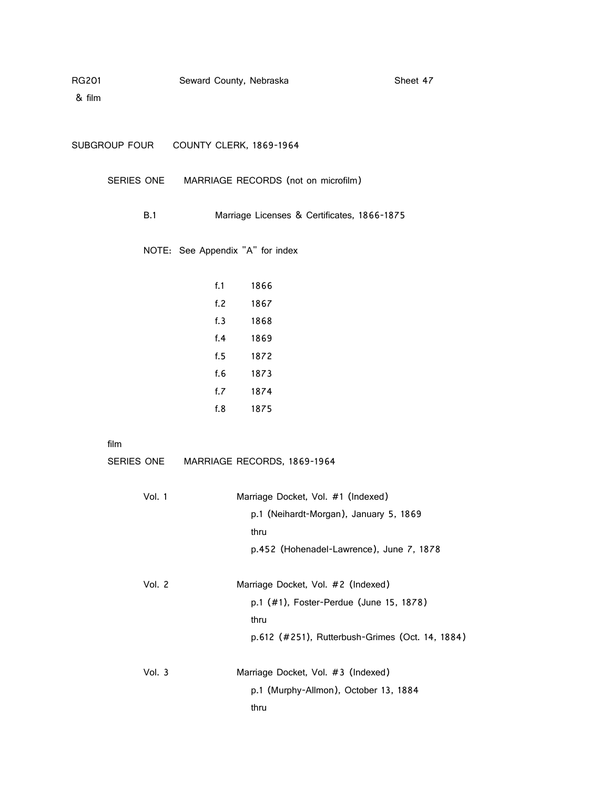| RG201 | Seward County, Nebraska |  | Sheet 47 |
|-------|-------------------------|--|----------|
|-------|-------------------------|--|----------|

| SUBGROUP FOUR | COUNTY CLERK, 1869-1964 |
|---------------|-------------------------|
|               |                         |

SERIES ONE MARRIAGE RECORDS (not on microfilm)

B.1 Marriage Licenses & Certificates, 1866-1875

NOTE: See Appendix "A" for index

| f. 1 | 1866 |
|------|------|
| f.2  | 1867 |
| f.3  | 1868 |
| f.4  | 1869 |
| f. 5 | 1872 |
| f.6  | 1873 |
| f.7  | 1874 |
| f.8  | 1875 |

film

| SERIES ONE | MARRIAGE RECORDS, 1869-1964                                                                                                              |
|------------|------------------------------------------------------------------------------------------------------------------------------------------|
| Vol. 1     | Marriage Docket, Vol. #1 (Indexed)<br>p.1 (Neihardt-Morgan), January 5, 1869<br>thru<br>p.452 (Hohenadel-Lawrence), June 7, 1878         |
| Vol. 2     | Marriage Docket, Vol. #2 (Indexed)<br>p.1 (#1), Foster-Perdue (June 15, 1878)<br>thru<br>p.612 (#251), Rutterbush-Grimes (Oct. 14, 1884) |
| Vol. $3$   | Marriage Docket, Vol. #3 (Indexed)<br>p.1 (Murphy-Allmon), October 13, 1884<br>thru                                                      |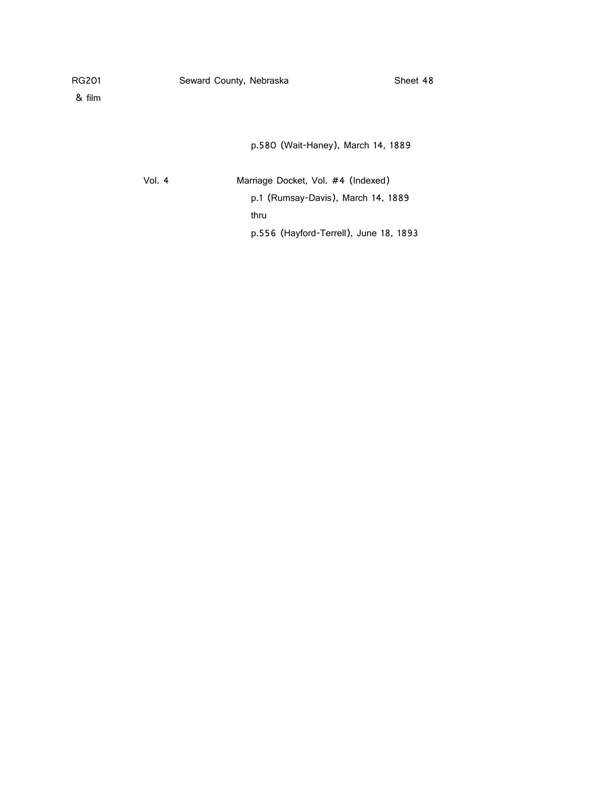& film

p.580 (Wait-Haney), March 14, 1889

Vol. 4 Marriage Docket, Vol. #4 (Indexed) p.1 (Rumsay-Davis), March 14, 1889 thru p.556 (Hayford-Terrell), June 18, 1893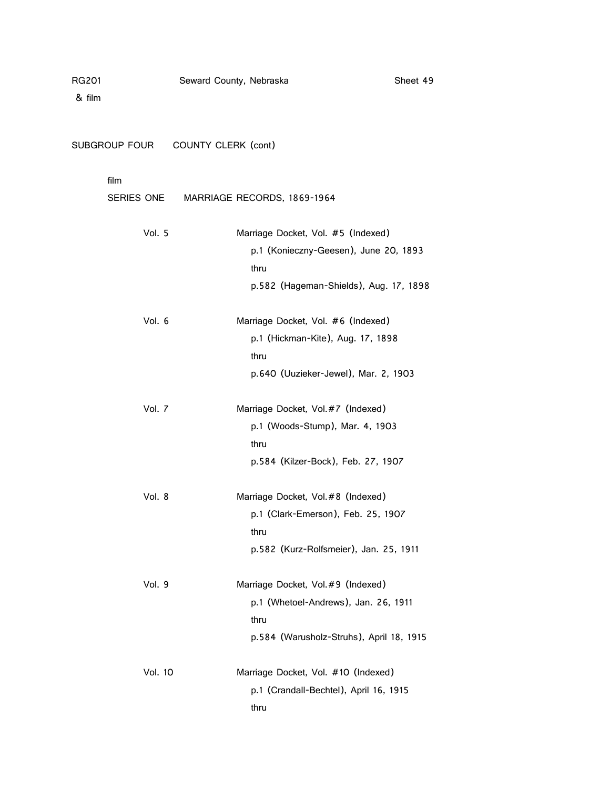SUBGROUP FOUR COUNTY CLERK (cont)

# film

| SERIES ONE | MARRIAGE RECORDS, 1869-1964                                                                                                   |
|------------|-------------------------------------------------------------------------------------------------------------------------------|
| Vol. 5     | Marriage Docket, Vol. #5 (Indexed)<br>p.1 (Konieczny-Geesen), June 20, 1893<br>thru<br>p.582 (Hageman-Shields), Aug. 17, 1898 |
| Vol. 6     | Marriage Docket, Vol. #6 (Indexed)<br>p.1 (Hickman-Kite), Aug. 17, 1898<br>thru<br>p.640 (Uuzieker-Jewel), Mar. 2, 1903       |
| Vol. 7     | Marriage Docket, Vol.#7 (Indexed)<br>p.1 (Woods-Stump), Mar. 4, 1903<br>thru<br>p.584 (Kilzer-Bock), Feb. 27, 1907            |
| Vol. 8     | Marriage Docket, Vol.#8 (Indexed)<br>p.1 (Clark-Emerson), Feb. 25, 1907<br>thru<br>p.582 (Kurz-Rolfsmeier), Jan. 25, 1911     |
| Vol. 9     | Marriage Docket, Vol.#9 (Indexed)<br>p.1 (Whetoel-Andrews), Jan. 26, 1911<br>thru<br>p.584 (Warusholz-Struhs), April 18, 1915 |
| Vol. 10    | Marriage Docket, Vol. #10 (Indexed)<br>p.1 (Crandall-Bechtel), April 16, 1915<br>thru                                         |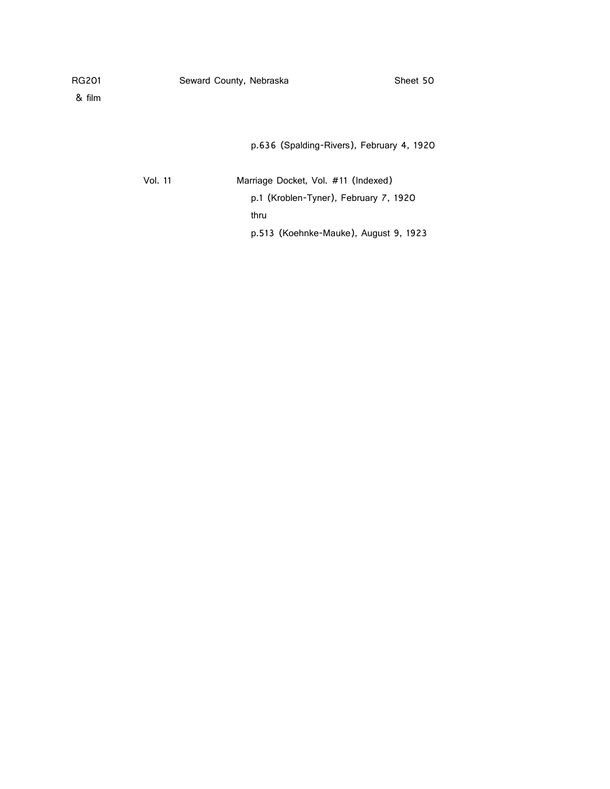| RG201 |  |
|-------|--|
|-------|--|

& film

p.636 (Spalding-Rivers), February 4, 1920

| Vol. 11 | Marriage Docket, Vol. #11 (Indexed)   |
|---------|---------------------------------------|
|         | p.1 (Kroblen-Tyner), February 7, 1920 |
|         | thru                                  |
|         | p.513 (Koehnke-Mauke), August 9, 1923 |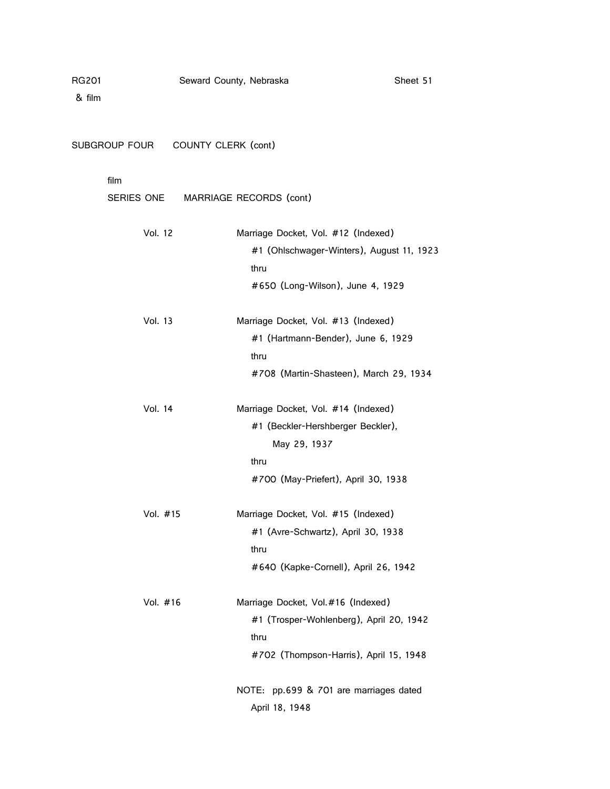SUBGROUP FOUR COUNTY CLERK (cont)

# film

|                | SERIES ONE MARRIAGE RECORDS (cont)                                                                                                      |
|----------------|-----------------------------------------------------------------------------------------------------------------------------------------|
| <b>Vol. 12</b> | Marriage Docket, Vol. #12 (Indexed)<br>#1 (Ohlschwager-Winters), August 11, 1923<br>thru<br>#650 (Long-Wilson), June 4, 1929            |
| <b>Vol. 13</b> | Marriage Docket, Vol. #13 (Indexed)<br>#1 (Hartmann-Bender), June 6, 1929<br>thru<br>#708 (Martin-Shasteen), March 29, 1934             |
| Vol. 14        | Marriage Docket, Vol. #14 (Indexed)<br>#1 (Beckler-Hershberger Beckler),<br>May 29, 1937<br>thru<br>#700 (May-Priefert), April 30, 1938 |
| Vol. #15       | Marriage Docket, Vol. #15 (Indexed)<br>#1 (Avre-Schwartz), April 30, 1938<br>thru<br>#640 (Kapke-Cornell), April 26, 1942               |
| Vol. #16       | Marriage Docket, Vol.#16 (Indexed)<br>#1 (Trosper-Wohlenberg), April 20, 1942<br>thru<br>#702 (Thompson-Harris), April 15, 1948         |
|                | NOTE: pp.699 & 701 are marriages dated<br>April 18, 1948                                                                                |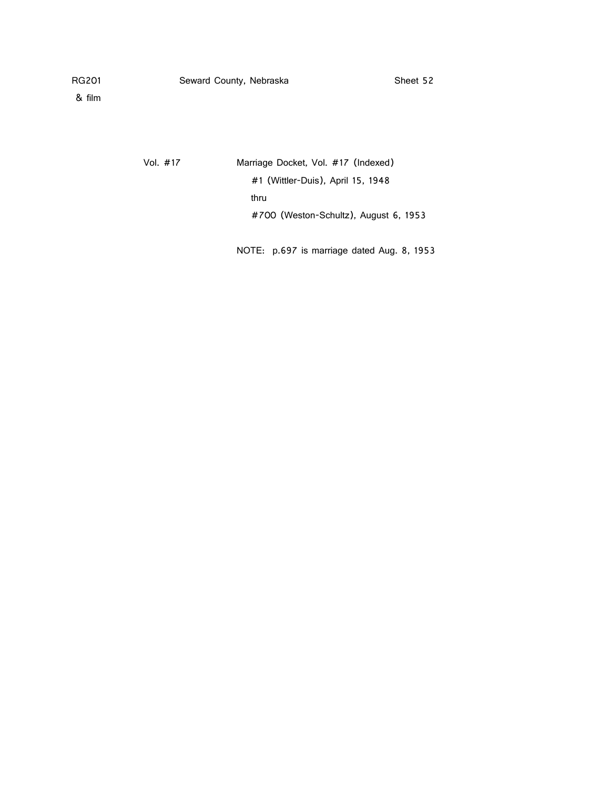& film

Vol. #17 Marriage Docket, Vol. #17 (Indexed) #1 (Wittler-Duis), April 15, 1948 thru #700 (Weston-Schultz), August 6, 1953

NOTE: p.697 is marriage dated Aug. 8, 1953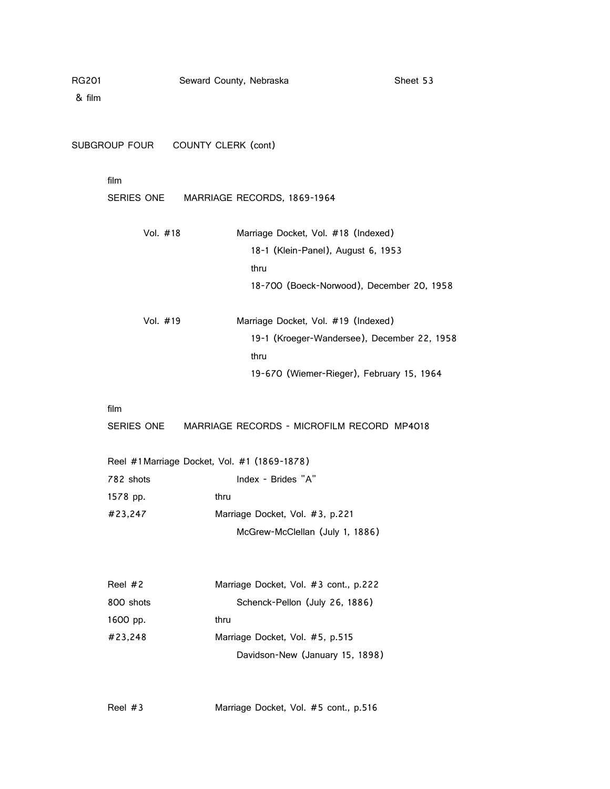| i201 |  |  |
|------|--|--|
|      |  |  |

|            | SUBGROUP FOUR COUNTY CLERK (cont)            |
|------------|----------------------------------------------|
| film       |                                              |
| SERIES ONE | MARRIAGE RECORDS, 1869-1964                  |
| Vol. #18   | Marriage Docket, Vol. #18 (Indexed)          |
|            | 18-1 (Klein-Panel), August 6, 1953           |
|            | thru                                         |
|            | 18-700 (Boeck-Norwood), December 20, 1958    |
| Vol. #19   | Marriage Docket, Vol. #19 (Indexed)          |
|            | 19-1 (Kroeger-Wandersee), December 22, 1958  |
|            | thru                                         |
|            | 19-670 (Wiemer-Rieger), February 15, 1964    |
| film       |                                              |
| SERIES ONE | MARRIAGE RECORDS - MICROFILM RECORD MP4018   |
|            | Reel #1 Marriage Docket, Vol. #1 (1869-1878) |
| 782 shots  | Index - Brides "A"                           |
| 1578 pp.   | thru                                         |
| #23,247    | Marriage Docket, Vol. #3, p.221              |
|            | McGrew-McClellan (July 1, 1886)              |
| Reel #2    | Marriage Docket, Vol. #3 cont., p.222        |
| 800 shots  | Schenck-Pellon (July 26, 1886)               |
| 1600 pp.   | thru                                         |
| #23,248    | Marriage Docket, Vol. #5, p.515              |
|            | Davidson-New (January 15, 1898)              |
|            |                                              |

Reel #3 Marriage Docket, Vol. #5 cont., p.516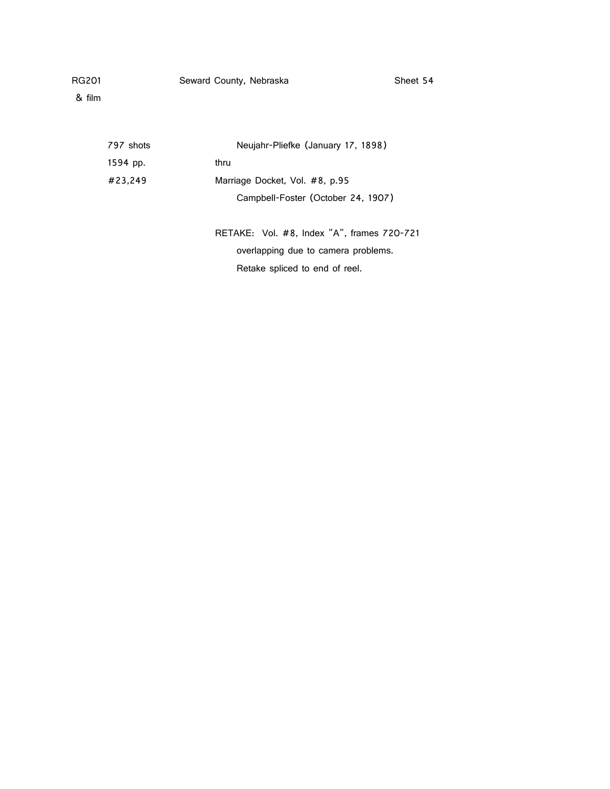| RG201 | Seward County, Nebraska | Sheet 54 |
|-------|-------------------------|----------|
|       |                         |          |

| 797 shots | Neujahr-Pliefke (January 17, 1898)         |
|-----------|--------------------------------------------|
| 1594 pp.  | thru                                       |
| #23,249   | Marriage Docket, Vol. #8, p.95             |
|           | Campbell-Foster (October 24, 1907)         |
|           |                                            |
|           | RETAKE: Vol. #8, Index "A", frames 720-721 |
|           | overlapping due to camera problems.        |
|           | Retake spliced to end of reel.             |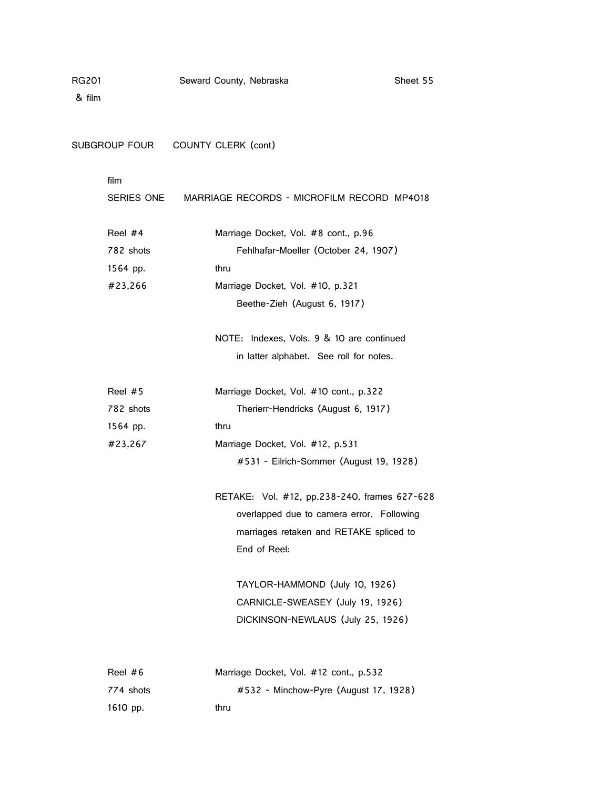& film

SUBGROUP FOUR COUNTY CLERK (cont)

# film

|           | SERIES ONE MARRIAGE RECORDS - MICROFILM RECORD MP4018 |  |  |
|-----------|-------------------------------------------------------|--|--|
| Reel #4   | Marriage Docket, Vol. #8 cont., p.96                  |  |  |
| 782 shots | Fehlhafar-Moeller (October 24, 1907)                  |  |  |
| 1564 pp.  | thru                                                  |  |  |
| #23,266   | Marriage Docket, Vol. #10, p.321                      |  |  |
|           | Beethe-Zieh (August 6, 1917)                          |  |  |
|           | NOTE: Indexes, Vols. 9 & 10 are continued             |  |  |
|           | in latter alphabet. See roll for notes.               |  |  |
| Reel #5   | Marriage Docket, Vol. #10 cont., p.322                |  |  |
| 782 shots | Therierr-Hendricks (August 6, 1917)                   |  |  |
| 1564 pp.  | thru                                                  |  |  |
| #23,267   | Marriage Docket, Vol. #12, p.531                      |  |  |
|           | #531 - Eilrich-Sommer (August 19, 1928)               |  |  |
|           | RETAKE: Vol. #12, pp.238-240, frames 627-628          |  |  |
|           | overlapped due to camera error. Following             |  |  |
|           | marriages retaken and RETAKE spliced to               |  |  |
|           | End of Reel:                                          |  |  |
|           | TAYLOR-HAMMOND (July 10, 1926)                        |  |  |
|           | CARNICLE-SWEASEY (July 19, 1926)                      |  |  |
|           | DICKINSON-NEWLAUS (July 25, 1926)                     |  |  |
| Reel #6   | Marriage Docket, Vol. #12 cont., p.532                |  |  |

774 shots #532 - Minchow-Pyre (August 17, 1928)

1610 pp. thru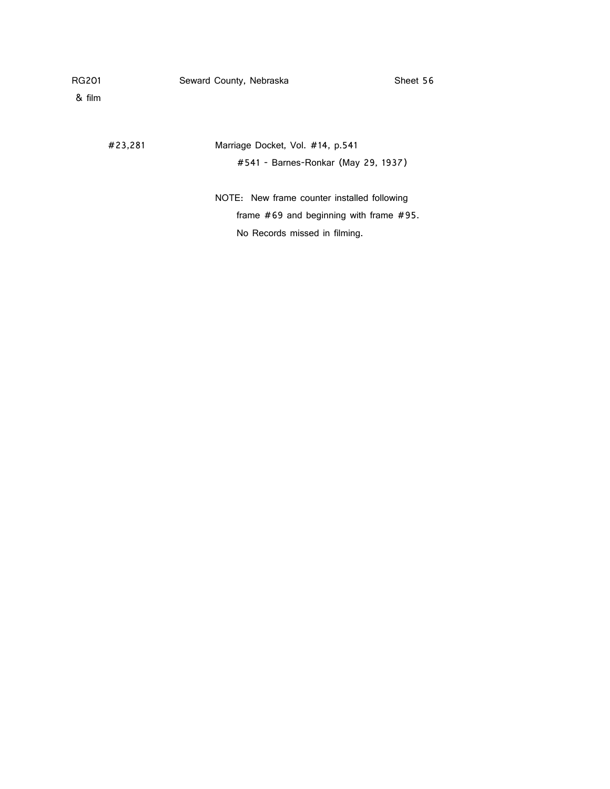#23,281 Marriage Docket, Vol. #14, p.541 #541 - Barnes-Ronkar (May 29, 1937)

> NOTE: New frame counter installed following frame #69 and beginning with frame #95. No Records missed in filming.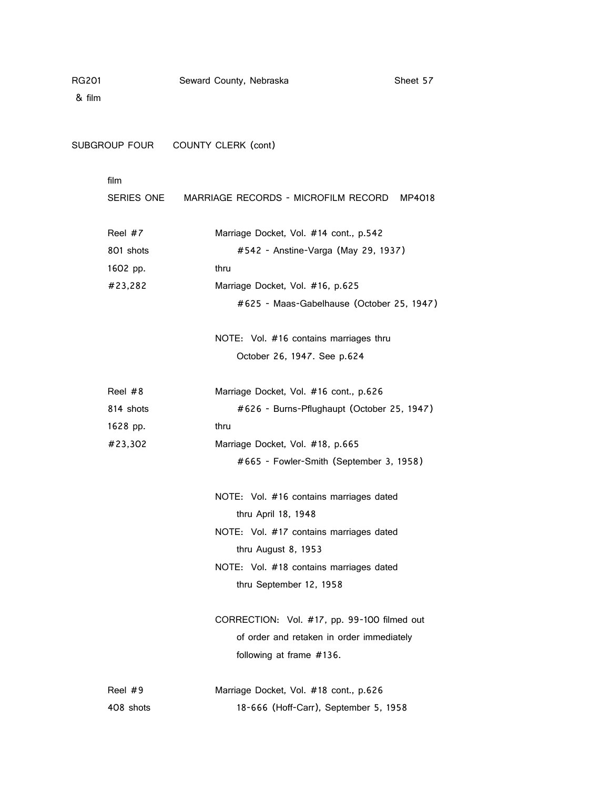& film

SUBGROUP FOUR COUNTY CLERK (cont)

# film

| SERIES ONE | MARRIAGE RECORDS - MICROFILM RECORD MP4018  |  |  |
|------------|---------------------------------------------|--|--|
| Reel #7    | Marriage Docket, Vol. #14 cont., p.542      |  |  |
| 801 shots  | #542 - Anstine-Varga (May 29, 1937)         |  |  |
| 1602 pp.   | thru                                        |  |  |
| #23,282    | Marriage Docket, Vol. #16, p.625            |  |  |
|            | #625 - Maas-Gabelhause (October 25, 1947)   |  |  |
|            | NOTE: Vol. #16 contains marriages thru      |  |  |
|            | October 26, 1947. See p.624                 |  |  |
| Reel #8    | Marriage Docket, Vol. #16 cont., p.626      |  |  |
| 814 shots  | #626 - Burns-Pflughaupt (October 25, 1947)  |  |  |
| 1628 pp.   | thru                                        |  |  |
| #23,302    | Marriage Docket, Vol. #18, p.665            |  |  |
|            | #665 - Fowler-Smith (September 3, 1958)     |  |  |
|            | NOTE: Vol. #16 contains marriages dated     |  |  |
|            | thru April 18, 1948                         |  |  |
|            | NOTE: Vol. #17 contains marriages dated     |  |  |
|            | thru August 8, 1953                         |  |  |
|            | NOTE: Vol. #18 contains marriages dated     |  |  |
|            | thru September 12, 1958                     |  |  |
|            | CORRECTION: Vol. #17, pp. 99-100 filmed out |  |  |
|            | of order and retaken in order immediately   |  |  |
|            | following at frame #136.                    |  |  |
| Reel #9    | Marriage Docket, Vol. #18 cont., p.626      |  |  |

408 shots 18-666 (Hoff-Carr), September 5, 1958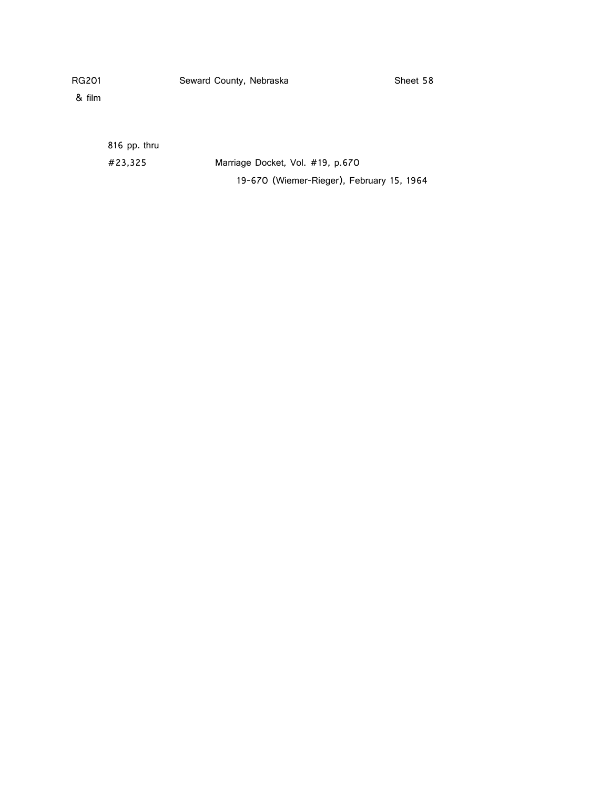& film

816 pp. thru

#23,325 Marriage Docket, Vol. #19, p.670 19-670 (Wiemer-Rieger), February 15, 1964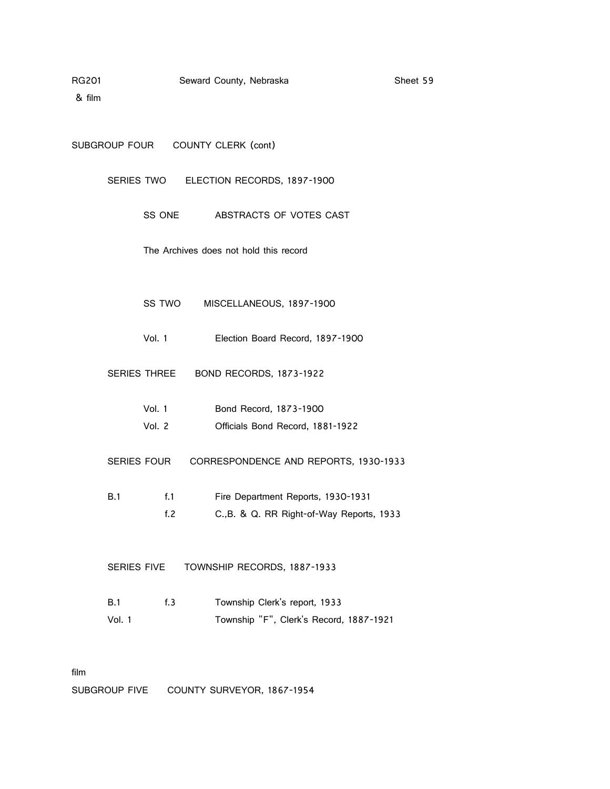| SUBGROUP FOUR |                    | COUNTY CLERK (cont)                       |
|---------------|--------------------|-------------------------------------------|
|               | SERIES TWO         | ELECTION RECORDS, 1897-1900               |
|               | SS ONE             | ABSTRACTS OF VOTES CAST                   |
|               |                    | The Archives does not hold this record    |
|               | SS TWO             | MISCELLANEOUS, 1897-1900                  |
|               | Vol. 1             | Election Board Record, 1897-1900          |
|               | SERIES THREE       | BOND RECORDS, 1873-1922                   |
|               | Vol. 1             | Bond Record, 1873-1900                    |
|               | Vol. 2             | Officials Bond Record, 1881-1922          |
|               | <b>SERIES FOUR</b> | CORRESPONDENCE AND REPORTS, 1930-1933     |
| B.1           | f.1                | Fire Department Reports, 1930-1931        |
|               | f.2                | C., B. & Q. RR Right-of-Way Reports, 1933 |
|               |                    |                                           |
|               | <b>SERIES FIVE</b> | TOWNSHIP RECORDS, 1887-1933               |
| B.1           | f.3                | Township Clerk's report, 1933             |
| Vol. 1        |                    | Township "F", Clerk's Record, 1887-1921   |
|               |                    |                                           |

film

SUBGROUP FIVE COUNTY SURVEYOR, 1867-1954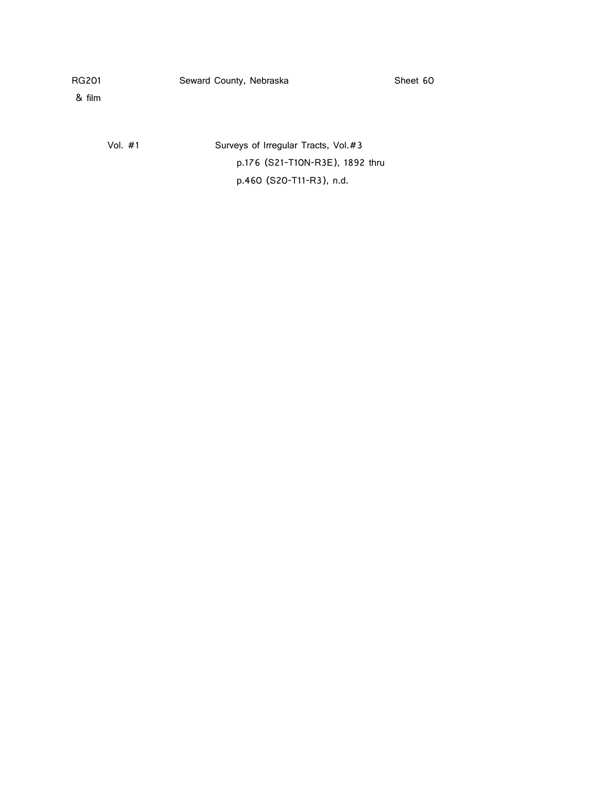& film

Vol. #1 Surveys of Irregular Tracts, Vol. #3 p.176 (S21-T10N-R3E), 1892 thru p.460 (S20-T11-R3), n.d.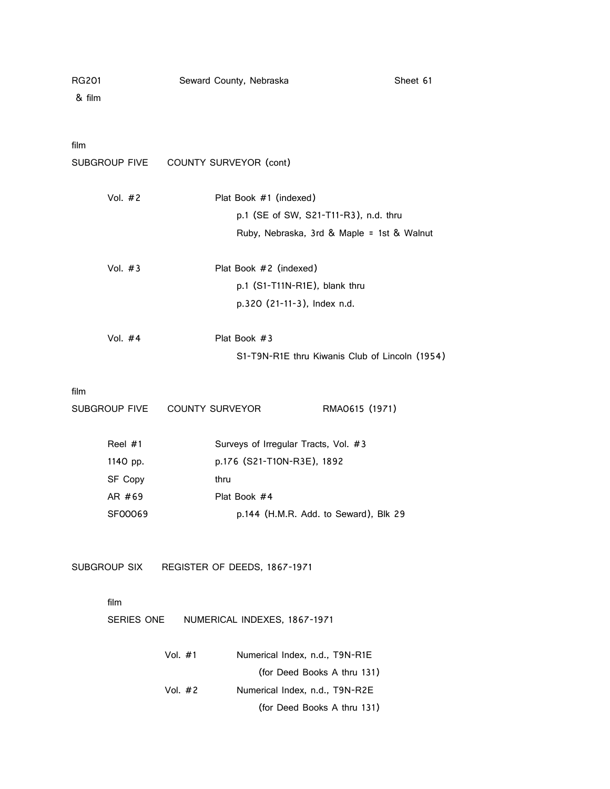| RG201<br>& film | Seward County, Nebraska                        | Sheet 61       |  |
|-----------------|------------------------------------------------|----------------|--|
| film            |                                                |                |  |
| SUBGROUP FIVE   | COUNTY SURVEYOR (cont)                         |                |  |
| Vol. $#2$       | Plat Book #1 (indexed)                         |                |  |
|                 | p.1 (SE of SW, S21-T11-R3), n.d. thru          |                |  |
|                 | Ruby, Nebraska, 3rd & Maple = 1st & Walnut     |                |  |
| Vol. $#3$       | Plat Book #2 (indexed)                         |                |  |
|                 | p.1 (S1-T11N-R1E), blank thru                  |                |  |
|                 | p.320 (21-11-3), Index n.d.                    |                |  |
| Vol. $#4$       | Plat Book #3                                   |                |  |
|                 | S1-T9N-R1E thru Kiwanis Club of Lincoln (1954) |                |  |
| film            |                                                |                |  |
| SUBGROUP FIVE   | COUNTY SURVEYOR                                | RMA0615 (1971) |  |
| Reel #1         | Surveys of Irregular Tracts, Vol. #3           |                |  |
| 1140 pp.        | p.176 (S21-T10N-R3E), 1892                     |                |  |
| SF Copy         | thru                                           |                |  |
| AR #69          | Plat Book #4                                   |                |  |
| SF00069         | p.144 (H.M.R. Add. to Seward), Blk 29          |                |  |
|                 |                                                |                |  |
| SUBGROUP SIX    | REGISTER OF DEEDS, 1867-1971                   |                |  |

### film

SERIES ONE NUMERICAL INDEXES, 1867-1971

| Vol. #1 | Numerical Index, n.d., T9N-R1E |
|---------|--------------------------------|
|         | (for Deed Books A thru 131)    |
| Vol. #2 | Numerical Index, n.d., T9N-R2E |
|         | (for Deed Books A thru 131)    |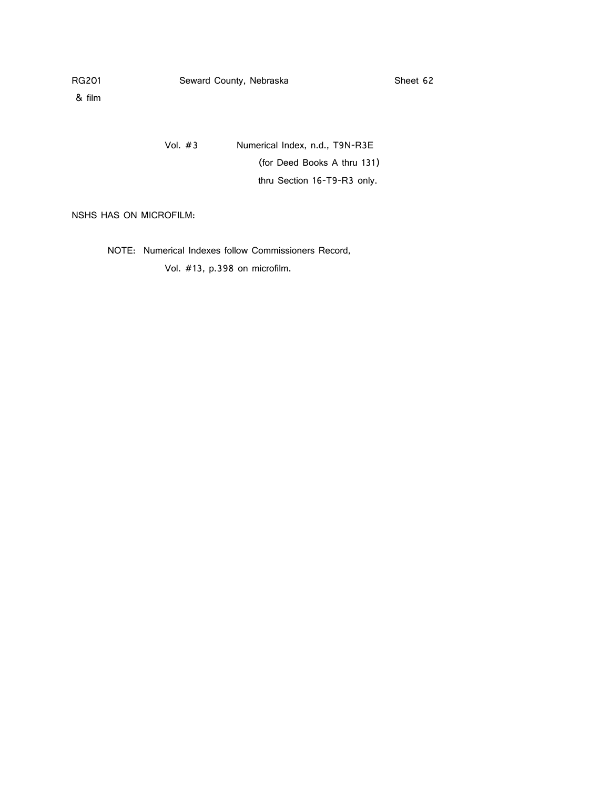& film

Vol. #3 Numerical Index, n.d., T9N-R3E (for Deed Books A thru 131) thru Section 16-T9-R3 only.

NSHS HAS ON MICROFILM:

NOTE: Numerical Indexes follow Commissioners Record, Vol. #13, p.398 on microfilm.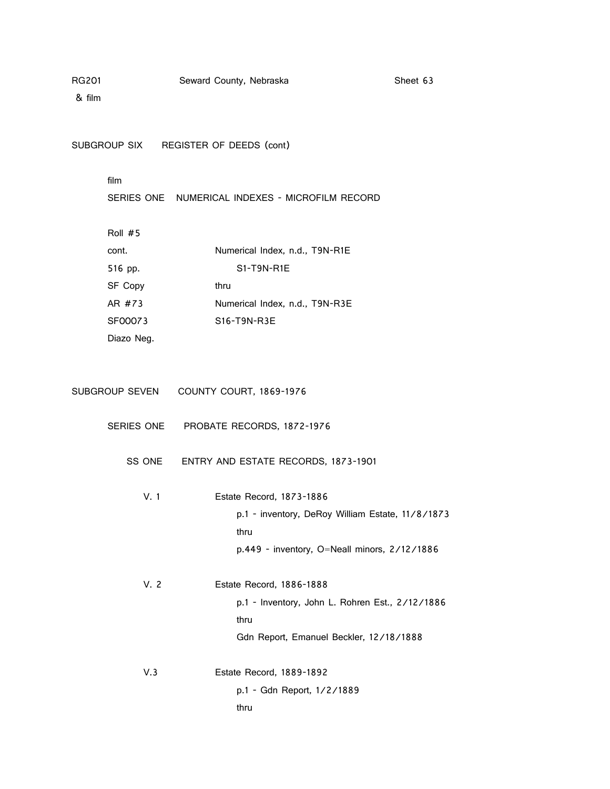& film

SUBGROUP SIX REGISTER OF DEEDS (cont)

### film

SERIES ONE NUMERICAL INDEXES - MICROFILM RECORD

Roll #5

| cont.          | Numerical Index, n.d., T9N-R1E |
|----------------|--------------------------------|
| 516 pp.        | S1-T9N-R1E                     |
| <b>SF Copy</b> | thru                           |
| AR #73         | Numerical Index, n.d., T9N-R3E |
| SF00073        | $S16-T9N-R3E$                  |
| Diazo Neg.     |                                |

| SUBGROUP SEVEN | COUNTY COURT, 1869-1976 |
|----------------|-------------------------|
|----------------|-------------------------|

- SERIES ONE PROBATE RECORDS, 1872-1976
	- SS ONE ENTRY AND ESTATE RECORDS, 1873-1901
		- V. 1 Estate Record, 1873-1886 p.1 - inventory, DeRoy William Estate, 11/8/1873 thru p.449 - inventory, O=Neall minors, 2/12/1886

V. 2 Estate Record, 1886-1888 p.1 - Inventory, John L. Rohren Est., 2/12/1886 thru Gdn Report, Emanuel Beckler, 12/18/1888

V.3 Estate Record, 1889-1892

p.1 - Gdn Report, 1/2/1889 thru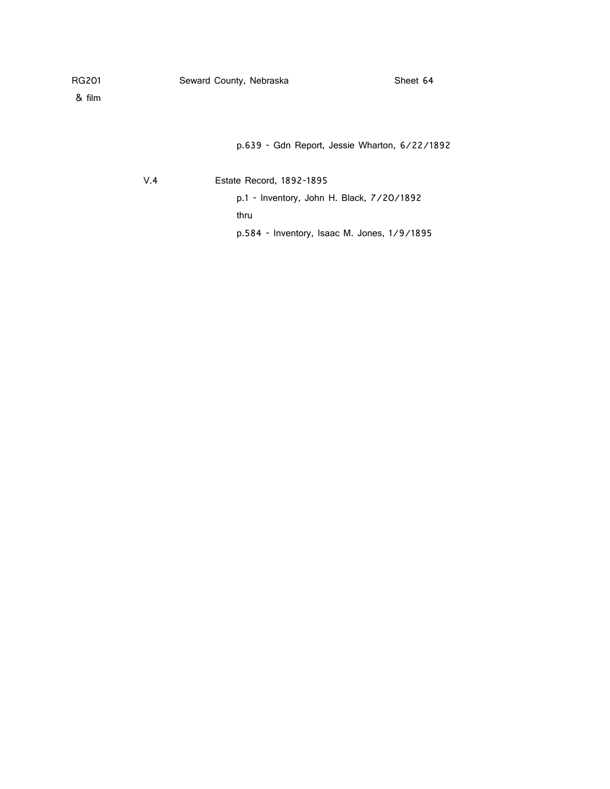p.639 - Gdn Report, Jessie Wharton, 6/22/1892

V.4 Estate Record, 1892-1895

p.1 - Inventory, John H. Black, 7/20/1892 thru p.584 - Inventory, Isaac M. Jones, 1/9/1895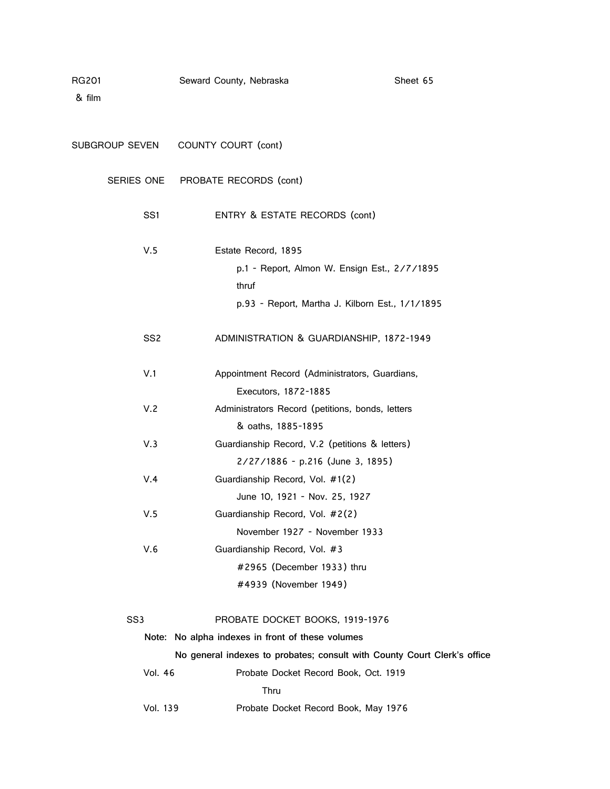| RG201<br>& film | Seward County, Nebraska                                                             | Sheet 65                                                                 |
|-----------------|-------------------------------------------------------------------------------------|--------------------------------------------------------------------------|
| SUBGROUP SEVEN  | COUNTY COURT (cont)                                                                 |                                                                          |
| SERIES ONE      | PROBATE RECORDS (cont)                                                              |                                                                          |
| SS1             | ENTRY & ESTATE RECORDS (cont)                                                       |                                                                          |
| V.5             | Estate Record, 1895                                                                 |                                                                          |
|                 | thruf                                                                               | p.1 - Report, Almon W. Ensign Est., 2/7/1895                             |
|                 |                                                                                     | p.93 - Report, Martha J. Kilborn Est., 1/1/1895                          |
| SS <sub>2</sub> | ADMINISTRATION & GUARDIANSHIP, 1872-1949                                            |                                                                          |
| V.1             | Appointment Record (Administrators, Guardians,<br>Executors, 1872-1885              |                                                                          |
| V.2             | Administrators Record (petitions, bonds, letters<br>& oaths, 1885-1895              |                                                                          |
| V.3             | Guardianship Record, V.2 (petitions & letters)<br>2/27/1886 - p.216 (June 3, 1895)  |                                                                          |
| V.4             | Guardianship Record, Vol. #1(2)<br>June 10, 1921 - Nov. 25, 1927                    |                                                                          |
| V.5             | Guardianship Record, Vol. #2(2)<br>November 1927 - November 1933                    |                                                                          |
| V.6             | Guardianship Record, Vol. #3<br>#2965 (December 1933) thru<br>#4939 (November 1949) |                                                                          |
| SS <sub>3</sub> | PROBATE DOCKET BOOKS, 1919-1976                                                     |                                                                          |
|                 | Note: No alpha indexes in front of these volumes                                    |                                                                          |
|                 |                                                                                     | No general indexes to probates; consult with County Court Clerk's office |

Vol. 46 Probate Docket Record Book, Oct. 1919 Thru Vol. 139 Probate Docket Record Book, May 1976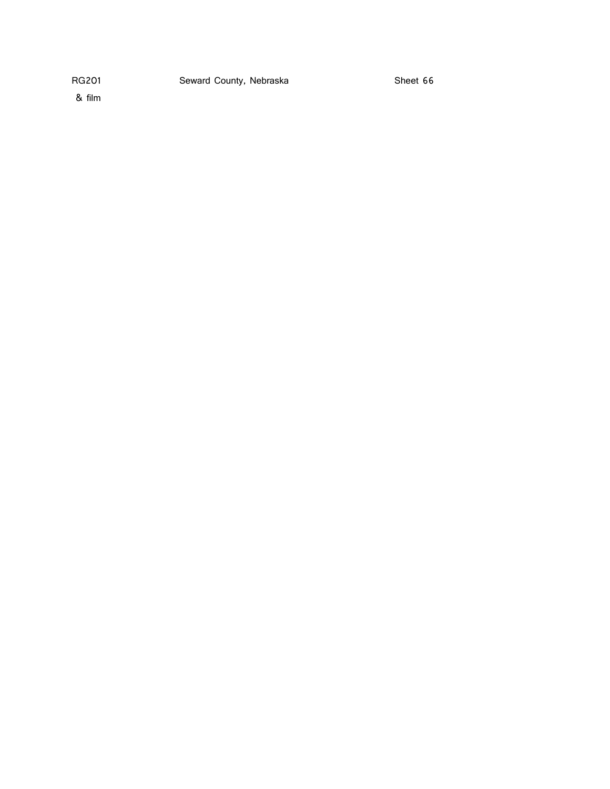& film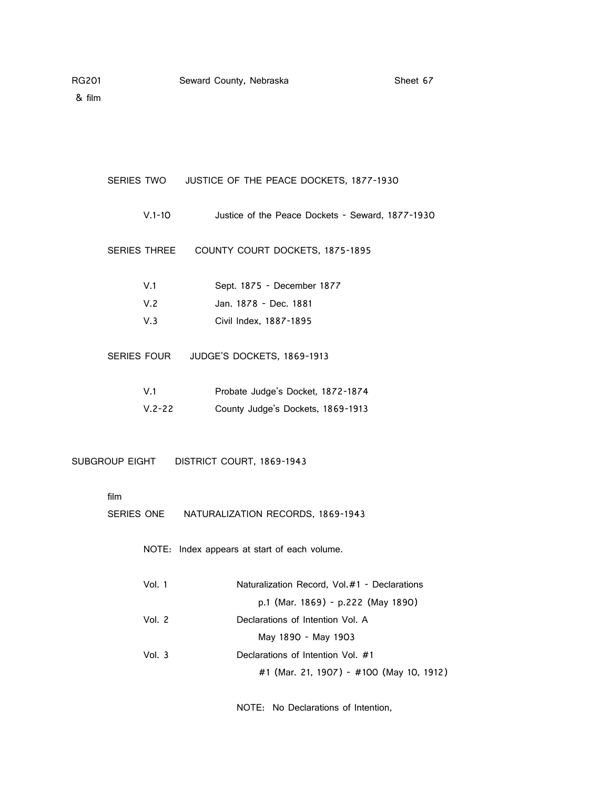| SERIES TWO   | JUSTICE OF THE PEACE DOCKETS, 1877-1930          |
|--------------|--------------------------------------------------|
| $V.1 - 10$   | Justice of the Peace Dockets - Seward, 1877-1930 |
| SERIES THREE | COUNTY COURT DOCKETS, 1875-1895                  |
| V.1          | Sept. 1875 - December 1877                       |
| V.2          | Jan. 1878 - Dec. 1881                            |
| V.3          | Civil Index, 1887-1895                           |
| SERIES FOUR  | JUDGE'S DOCKETS, 1869-1913                       |
| V.1          | Probate Judge's Docket, 1872-1874                |
| $V.2 - 22$   | County Judge's Dockets, 1869-1913                |
|              | SUBGROUP EIGHT DISTRICT COURT, 1869-1943         |
| film         | SERIES ONE NATURALIZATION RECORDS, 1869-1943     |
|              | NOTE: Index appears at start of each volume.     |
| Vol. 1       | Naturalization Record, Vol.#1 - Declarations     |
|              | p.1 (Mar. 1869) - p.222 (May 1890)               |
| Vol. 2       | Declarations of Intention Vol. A                 |
|              | May 1890 - May 1903                              |
| Vol. 3       | Declarations of Intention Vol. #1                |

#1 (Mar. 21, 1907) - #100 (May 10, 1912)

NOTE: No Declarations of Intention,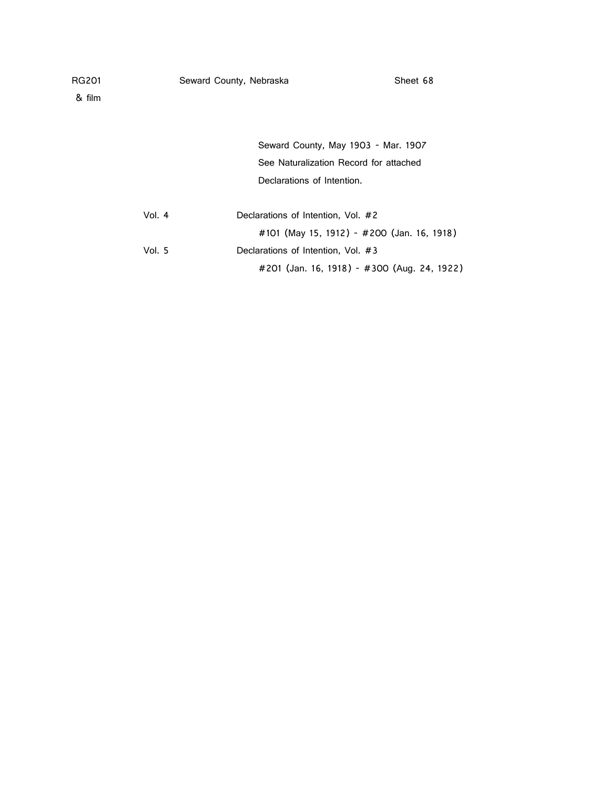& film

| Seward County, May 1903 - Mar. 1907    |
|----------------------------------------|
| See Naturalization Record for attached |
| Declarations of Intention.             |
|                                        |

| Vol. 4 | Declarations of Intention, Vol. #2          |
|--------|---------------------------------------------|
|        | #101 (May 15, 1912) - #200 (Jan. 16, 1918)  |
| Vol. 5 | Declarations of Intention, Vol. #3          |
|        | #201 (Jan. 16, 1918) - #300 (Aug. 24, 1922) |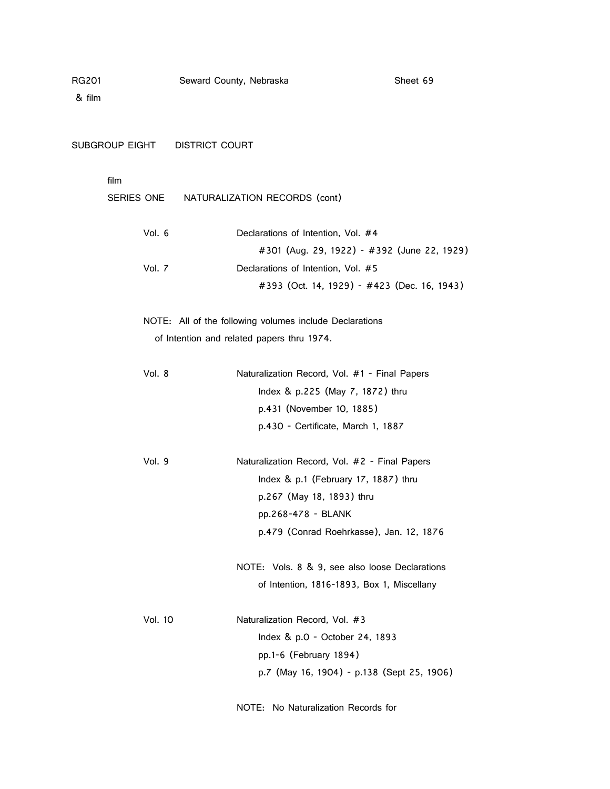| SUBGROUP EIGHT<br><b>DISTRICT COURT</b> |                                                         |
|-----------------------------------------|---------------------------------------------------------|
| film                                    |                                                         |
| SERIES ONE                              | NATURALIZATION RECORDS (cont)                           |
| Vol. 6                                  | Declarations of Intention, Vol. #4                      |
|                                         | #301 (Aug. 29, 1922) - #392 (June 22, 1929)             |
| Vol. 7                                  | Declarations of Intention, Vol. #5                      |
|                                         | #393 (Oct. 14, 1929) - #423 (Dec. 16, 1943)             |
|                                         | NOTE: All of the following volumes include Declarations |
|                                         | of Intention and related papers thru 1974.              |
| Vol. 8                                  | Naturalization Record, Vol. #1 - Final Papers           |
|                                         | Index & p.225 (May 7, 1872) thru                        |
|                                         | p.431 (November 10, 1885)                               |
|                                         | p.430 - Certificate, March 1, 1887                      |
| Vol. 9                                  | Naturalization Record, Vol. #2 - Final Papers           |
|                                         | Index $& p.1$ (February 17, 1887) thru                  |
|                                         | p.267 (May 18, 1893) thru                               |
|                                         | pp.268-478 - BLANK                                      |
|                                         | p.479 (Conrad Roehrkasse), Jan. 12, 1876                |
|                                         | NOTE: Vols. 8 & 9, see also loose Declarations          |
|                                         | of Intention, 1816-1893, Box 1, Miscellany              |
| <b>Vol. 10</b>                          | Naturalization Record, Vol. #3                          |
|                                         | Index & p.0 - October 24, 1893                          |
|                                         | pp.1-6 (February 1894)                                  |
|                                         | p.7 (May 16, 1904) - p.138 (Sept 25, 1906)              |
|                                         |                                                         |

NOTE: No Naturalization Records for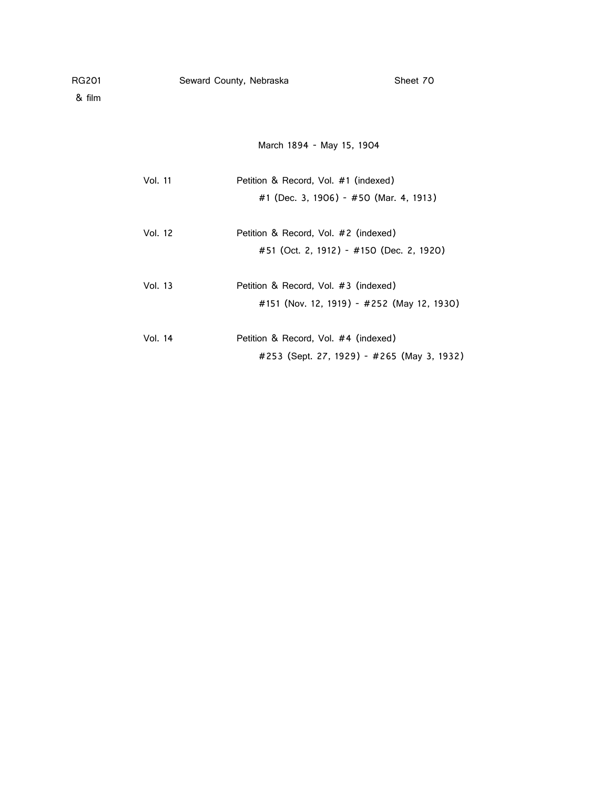March 1894 - May 15, 1904

| Vol. 11 | Petition & Record, Vol. #1 (indexed)       |
|---------|--------------------------------------------|
|         | #1 (Dec. 3, 1906) - #50 (Mar. 4, 1913)     |
|         |                                            |
| Vol. 12 | Petition & Record, Vol. #2 (indexed)       |
|         | #51 (Oct. 2, 1912) - #150 (Dec. 2, 1920)   |
|         |                                            |
| Vol. 13 | Petition & Record, Vol. #3 (indexed)       |
|         | #151 (Nov. 12, 1919) - #252 (May 12, 1930) |
|         |                                            |
| Vol. 14 | Petition & Record, Vol. #4 (indexed)       |
|         | #253 (Sept. 27, 1929) - #265 (May 3, 1932) |
|         |                                            |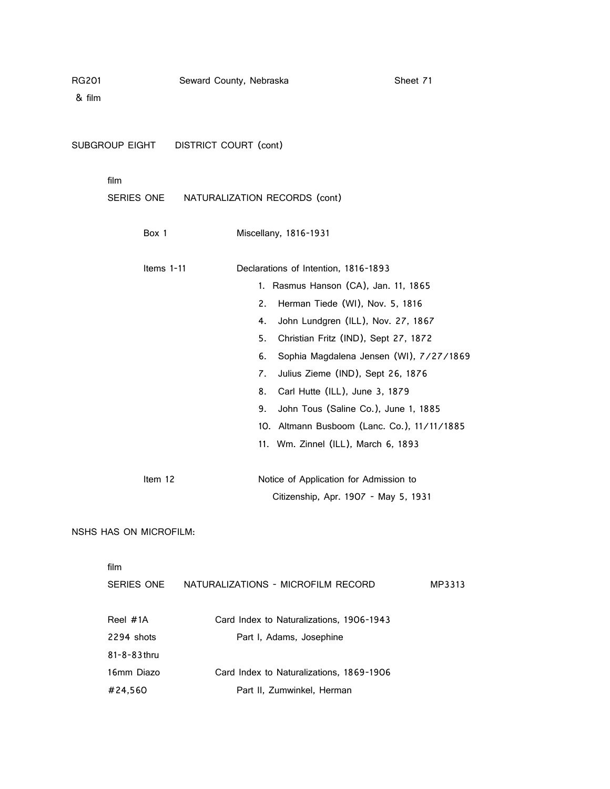| RG201<br>& film        | Seward County, Nebraska               |                                                    |                                                                                                                                                                                                                                                                                                                                                                                                                                               | Sheet 71 |
|------------------------|---------------------------------------|----------------------------------------------------|-----------------------------------------------------------------------------------------------------------------------------------------------------------------------------------------------------------------------------------------------------------------------------------------------------------------------------------------------------------------------------------------------------------------------------------------------|----------|
|                        | SUBGROUP EIGHT  DISTRICT COURT (cont) |                                                    |                                                                                                                                                                                                                                                                                                                                                                                                                                               |          |
| film                   | SERIES ONE                            |                                                    | NATURALIZATION RECORDS (cont)                                                                                                                                                                                                                                                                                                                                                                                                                 |          |
|                        | Box 1                                 |                                                    | Miscellany, 1816-1931                                                                                                                                                                                                                                                                                                                                                                                                                         |          |
|                        | Items 1-11                            | 2.<br>4.<br>5.<br>6.<br>$\mathbf{Z}$ .<br>8.<br>9. | Declarations of Intention, 1816-1893<br>1. Rasmus Hanson (CA), Jan. 11, 1865<br>Herman Tiede (WI), Nov. 5, 1816<br>John Lundgren (ILL), Nov. 27, 1867<br>Christian Fritz (IND), Sept 27, 1872<br>Sophia Magdalena Jensen (WI), 7/27/1869<br>Julius Zieme (IND), Sept 26, 1876<br>Carl Hutte (ILL), June 3, 1879<br>John Tous (Saline Co.), June 1, 1885<br>10. Altmann Busboom (Lanc. Co.), 11/11/1885<br>11. Wm. Zinnel (ILL), March 6, 1893 |          |
|                        | Item 12                               |                                                    | Notice of Application for Admission to<br>Citizenship, Apr. 1907 - May 5, 1931                                                                                                                                                                                                                                                                                                                                                                |          |
| NSHS HAS ON MICROFILM: |                                       |                                                    |                                                                                                                                                                                                                                                                                                                                                                                                                                               |          |
| film                   |                                       |                                                    |                                                                                                                                                                                                                                                                                                                                                                                                                                               |          |

| SERIES ONE         | NATURALIZATIONS - MICROFILM RECORD       | MP3313 |
|--------------------|------------------------------------------|--------|
| Reel #1A           | Card Index to Naturalizations, 1906-1943 |        |
| 2294 shots         | Part I, Adams, Josephine                 |        |
| $81 - 8 - 83$ thru |                                          |        |
| 16mm Diazo         | Card Index to Naturalizations, 1869-1906 |        |
| #24,560            | Part II, Zumwinkel, Herman               |        |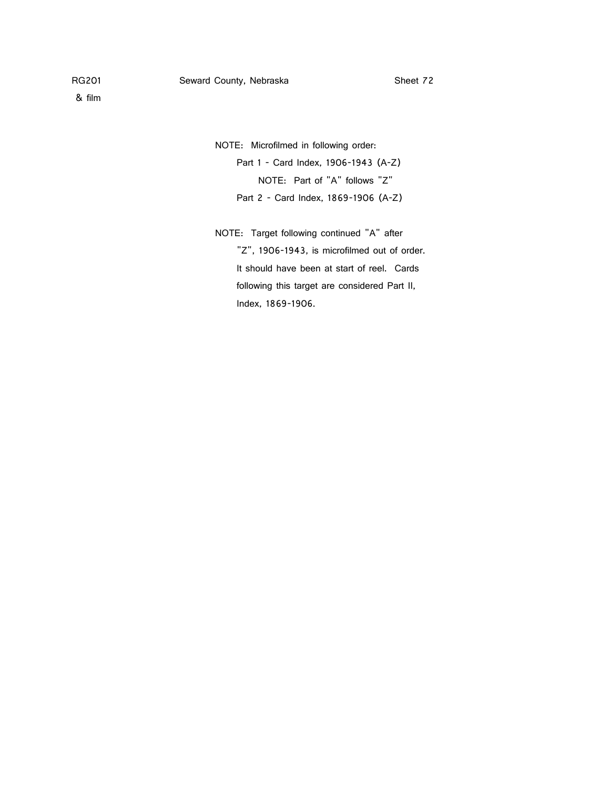& film

NOTE: Microfilmed in following order:

Part 1 - Card Index, 1906-1943 (A-Z) NOTE: Part of "A" follows "Z" Part 2 - Card Index, 1869-1906 (A-Z)

NOTE: Target following continued "A" after "Z", 1906-1943, is microfilmed out of order. It should have been at start of reel. Cards following this target are considered Part II, Index, 1869-1906.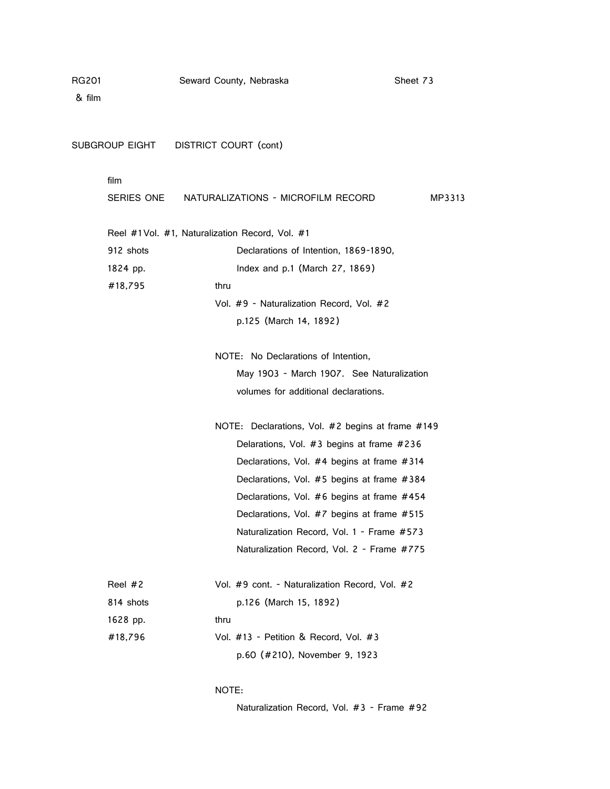& film

SUBGROUP EIGHT DISTRICT COURT (cont)

| film                                |                                                                                                                                                                                                                                                                                                                                                                                       |  |  |  |  |
|-------------------------------------|---------------------------------------------------------------------------------------------------------------------------------------------------------------------------------------------------------------------------------------------------------------------------------------------------------------------------------------------------------------------------------------|--|--|--|--|
| SERIES ONE                          | NATURALIZATIONS - MICROFILM RECORD<br>MP3313                                                                                                                                                                                                                                                                                                                                          |  |  |  |  |
|                                     | Reel #1Vol. #1, Naturalization Record, Vol. #1                                                                                                                                                                                                                                                                                                                                        |  |  |  |  |
| 912 shots                           | Declarations of Intention, 1869-1890,                                                                                                                                                                                                                                                                                                                                                 |  |  |  |  |
| 1824 pp.                            | Index and p.1 (March 27, 1869)                                                                                                                                                                                                                                                                                                                                                        |  |  |  |  |
| #18,795                             | thru                                                                                                                                                                                                                                                                                                                                                                                  |  |  |  |  |
|                                     | Vol. #9 - Naturalization Record, Vol. #2                                                                                                                                                                                                                                                                                                                                              |  |  |  |  |
|                                     | p.125 (March 14, 1892)                                                                                                                                                                                                                                                                                                                                                                |  |  |  |  |
| NOTE: No Declarations of Intention. |                                                                                                                                                                                                                                                                                                                                                                                       |  |  |  |  |
|                                     | May 1903 - March 1907. See Naturalization                                                                                                                                                                                                                                                                                                                                             |  |  |  |  |
|                                     | volumes for additional declarations.                                                                                                                                                                                                                                                                                                                                                  |  |  |  |  |
|                                     | NOTE: Declarations, Vol. #2 begins at frame #149<br>Delarations, Vol. $#3$ begins at frame $#236$<br>Declarations, Vol. #4 begins at frame #314<br>Declarations, Vol. #5 begins at frame #384<br>Declarations, Vol. #6 begins at frame #454<br>Declarations, Vol. #7 begins at frame #515<br>Naturalization Record, Vol. 1 - Frame #573<br>Naturalization Record, Vol. 2 - Frame #775 |  |  |  |  |
| Reel $#2$                           | Vol. #9 cont. - Naturalization Record, Vol. #2                                                                                                                                                                                                                                                                                                                                        |  |  |  |  |
| 814 shots                           | p.126 (March 15, 1892)                                                                                                                                                                                                                                                                                                                                                                |  |  |  |  |
| 1628 pp.                            | thru                                                                                                                                                                                                                                                                                                                                                                                  |  |  |  |  |
| #18,796                             | Vol. #13 - Petition & Record, Vol. #3                                                                                                                                                                                                                                                                                                                                                 |  |  |  |  |
|                                     | p.60 (#210), November 9, 1923                                                                                                                                                                                                                                                                                                                                                         |  |  |  |  |

# NOTE:

Naturalization Record, Vol. #3 - Frame #92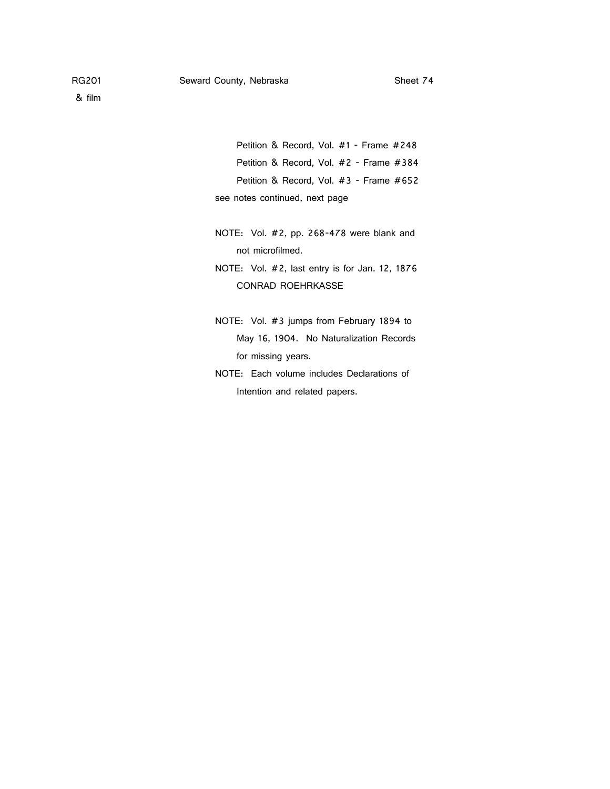& film

Petition & Record, Vol. #1 - Frame #248 Petition & Record, Vol. #2 - Frame #384 Petition & Record, Vol. #3 - Frame #652 see notes continued, next page

- NOTE: Vol. #2, pp. 268-478 were blank and not microfilmed.
- NOTE: Vol. #2, last entry is for Jan. 12, 1876 CONRAD ROEHRKASSE
- NOTE: Vol. #3 jumps from February 1894 to May 16, 1904. No Naturalization Records for missing years.
- NOTE: Each volume includes Declarations of Intention and related papers.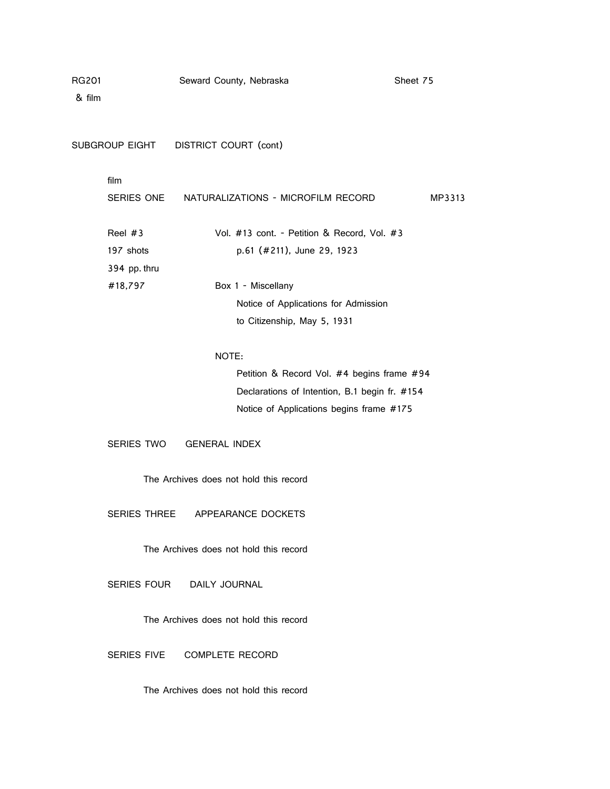& film

SUBGROUP EIGHT DISTRICT COURT (cont)

# film

| SERIES ONE   | NATURALIZATIONS - MICROFILM RECORD          | MP3313 |
|--------------|---------------------------------------------|--------|
| Reel #3      | Vol. #13 cont. - Petition & Record, Vol. #3 |        |
| 197 shots    | p.61 (#211), June 29, 1923                  |        |
| 394 pp. thru |                                             |        |
| #18,797      | Box 1 - Miscellany                          |        |
|              | Notice of Applications for Admission        |        |
|              | to Citizenship, May 5, 1931                 |        |

# NOTE:

Petition & Record Vol. #4 begins frame #94 Declarations of Intention, B.1 begin fr. #154 Notice of Applications begins frame #175

SERIES TWO GENERAL INDEX

The Archives does not hold this record

SERIES THREE APPEARANCE DOCKETS

The Archives does not hold this record

SERIES FOUR DAILY JOURNAL

The Archives does not hold this record

SERIES FIVE COMPLETE RECORD

The Archives does not hold this record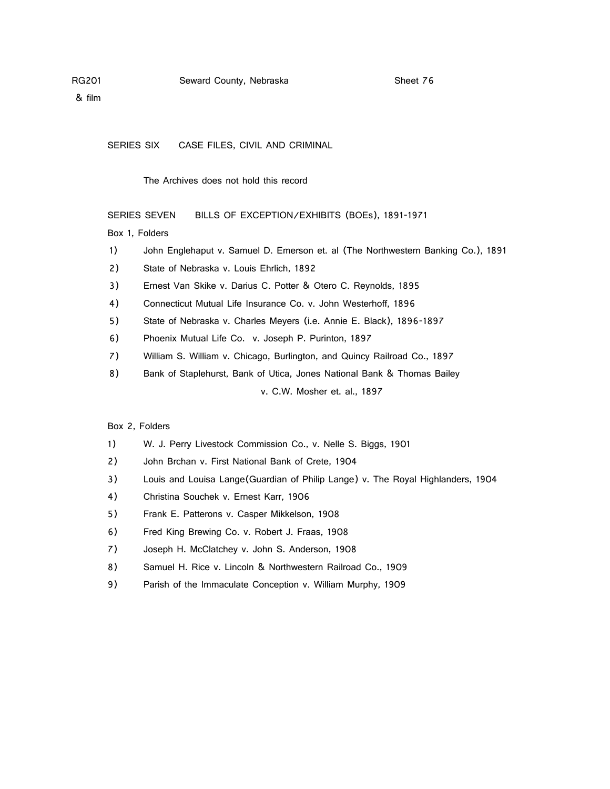& film

SERIES SIX CASE FILES, CIVIL AND CRIMINAL

The Archives does not hold this record

SERIES SEVEN BILLS OF EXCEPTION/EXHIBITS (BOEs), 1891-1971

Box 1, Folders

- 1) John Englehaput v. Samuel D. Emerson et. al (The Northwestern Banking Co.), 1891
- 2) State of Nebraska v. Louis Ehrlich, 1892
- 3) Ernest Van Skike v. Darius C. Potter & Otero C. Reynolds, 1895
- 4) Connecticut Mutual Life Insurance Co. v. John Westerhoff, 1896
- 5) State of Nebraska v. Charles Meyers (i.e. Annie E. Black), 1896-1897
- 6) Phoenix Mutual Life Co. v. Joseph P. Purinton, 1897
- 7) William S. William v. Chicago, Burlington, and Quincy Railroad Co., 1897
- 8) Bank of Staplehurst, Bank of Utica, Jones National Bank & Thomas Bailey v. C.W. Mosher et. al., 1897

# Box 2, Folders

- 1) W. J. Perry Livestock Commission Co., v. Nelle S. Biggs, 1901
- 2) John Brchan v. First National Bank of Crete, 1904
- 3) Louis and Louisa Lange(Guardian of Philip Lange) v. The Royal Highlanders, 1904
- 4) Christina Souchek v. Ernest Karr, 1906
- 5) Frank E. Patterons v. Casper Mikkelson, 1908
- 6) Fred King Brewing Co. v. Robert J. Fraas, 1908
- 7) Joseph H. McClatchey v. John S. Anderson, 1908
- 8) Samuel H. Rice v. Lincoln & Northwestern Railroad Co., 1909
- 9) Parish of the Immaculate Conception v. William Murphy, 1909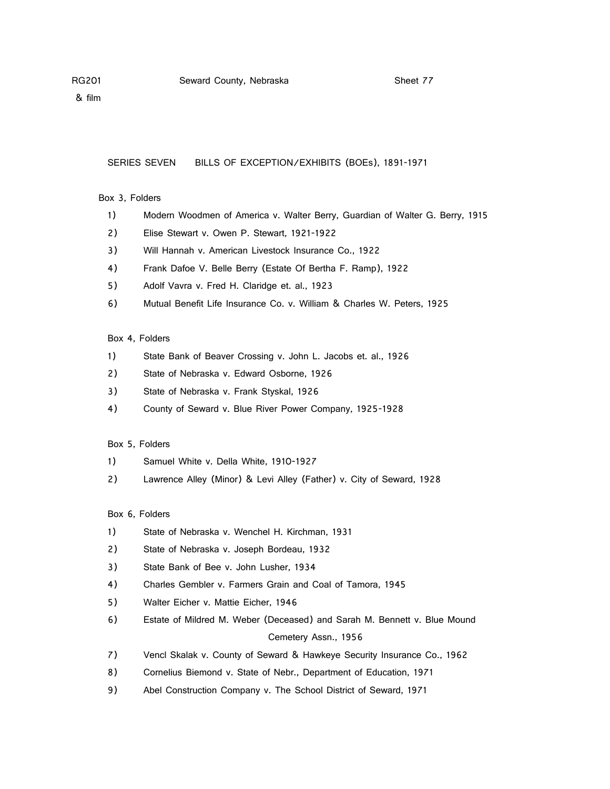& film

#### SERIES SEVEN BILLS OF EXCEPTION/EXHIBITS (BOEs), 1891-1971

# Box 3, Folders

- 1) Modern Woodmen of America v. Walter Berry, Guardian of Walter G. Berry, 1915
- 2) Elise Stewart v. Owen P. Stewart, 1921-1922
- 3) Will Hannah v. American Livestock Insurance Co., 1922
- 4) Frank Dafoe V. Belle Berry (Estate Of Bertha F. Ramp), 1922
- 5) Adolf Vavra v. Fred H. Claridge et. al., 1923
- 6) Mutual Benefit Life Insurance Co. v. William & Charles W. Peters, 1925

### Box 4, Folders

- 1) State Bank of Beaver Crossing v. John L. Jacobs et. al., 1926
- 2) State of Nebraska v. Edward Osborne, 1926
- 3) State of Nebraska v. Frank Styskal, 1926
- 4) County of Seward v. Blue River Power Company, 1925-1928

#### Box 5, Folders

- 1) Samuel White v. Della White, 1910-1927
- 2) Lawrence Alley (Minor) & Levi Alley (Father) v. City of Seward, 1928

# Box 6, Folders

- 1) State of Nebraska v. Wenchel H. Kirchman, 1931
- 2) State of Nebraska v. Joseph Bordeau, 1932
- 3) State Bank of Bee v. John Lusher, 1934
- 4) Charles Gembler v. Farmers Grain and Coal of Tamora, 1945
- 5) Walter Eicher v. Mattie Eicher, 1946
- 6) Estate of Mildred M. Weber (Deceased) and Sarah M. Bennett v. Blue Mound Cemetery Assn., 1956
- 7) Vencl Skalak v. County of Seward & Hawkeye Security Insurance Co., 1962
- 8) Cornelius Biemond v. State of Nebr., Department of Education, 1971
- 9) Abel Construction Company v. The School District of Seward, 1971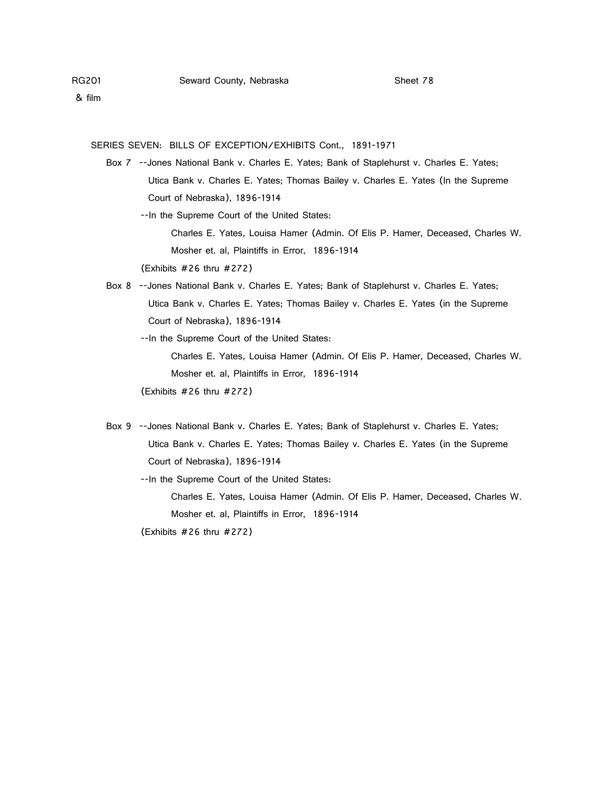SERIES SEVEN: BILLS OF EXCEPTION/EXHIBITS Cont., 1891-1971

 Box 7 --Jones National Bank v. Charles E. Yates; Bank of Staplehurst v. Charles E. Yates; Utica Bank v. Charles E. Yates; Thomas Bailey v. Charles E. Yates (In the Supreme Court of Nebraska), 1896-1914

--In the Supreme Court of the United States:

 Charles E. Yates, Louisa Hamer (Admin. Of Elis P. Hamer, Deceased, Charles W. Mosher et. al, Plaintiffs in Error, 1896-1914

(Exhibits #26 thru #272)

 Box 8 --Jones National Bank v. Charles E. Yates; Bank of Staplehurst v. Charles E. Yates; Utica Bank v. Charles E. Yates; Thomas Bailey v. Charles E. Yates (in the Supreme Court of Nebraska), 1896-1914

--In the Supreme Court of the United States:

 Charles E. Yates, Louisa Hamer (Admin. Of Elis P. Hamer, Deceased, Charles W. Mosher et. al, Plaintiffs in Error, 1896-1914

(Exhibits #26 thru #272)

 Box 9 --Jones National Bank v. Charles E. Yates; Bank of Staplehurst v. Charles E. Yates; Utica Bank v. Charles E. Yates; Thomas Bailey v. Charles E. Yates (in the Supreme Court of Nebraska), 1896-1914

--In the Supreme Court of the United States:

 Charles E. Yates, Louisa Hamer (Admin. Of Elis P. Hamer, Deceased, Charles W. Mosher et. al, Plaintiffs in Error, 1896-1914

(Exhibits #26 thru #272)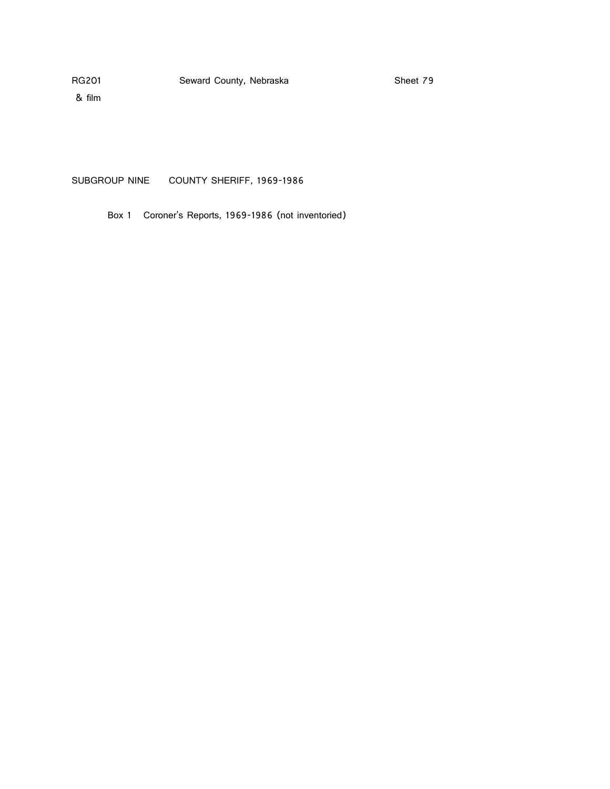& film

SUBGROUP NINE COUNTY SHERIFF, 1969-1986

Box 1 Coroner's Reports, 1969-1986 (not inventoried)